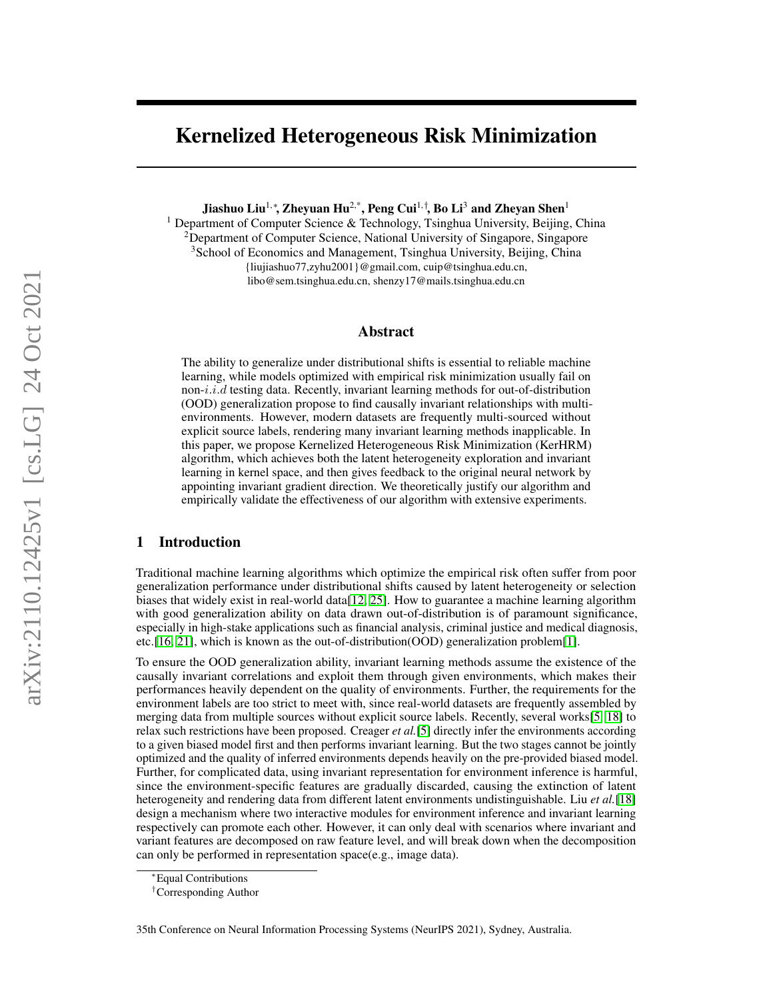# Kernelized Heterogeneous Risk Minimization

Jiashuo Liu<sup>1,</sup>\*, Zheyuan Hu<sup>2,\*</sup>, Peng Cui<sup>1,†</sup>, Bo Li<sup>3</sup> and Zheyan Shen<sup>1</sup>

<sup>1</sup> Department of Computer Science & Technology, Tsinghua University, Beijing, China <sup>2</sup>Department of Computer Science, National University of Singapore, Singapore <sup>3</sup>School of Economics and Management, Tsinghua University, Beijing, China {liujiashuo77,zyhu2001}@gmail.com, cuip@tsinghua.edu.cn, libo@sem.tsinghua.edu.cn, shenzy17@mails.tsinghua.edu.cn

# Abstract

The ability to generalize under distributional shifts is essential to reliable machine learning, while models optimized with empirical risk minimization usually fail on non- $i.i.d$  testing data. Recently, invariant learning methods for out-of-distribution (OOD) generalization propose to find causally invariant relationships with multienvironments. However, modern datasets are frequently multi-sourced without explicit source labels, rendering many invariant learning methods inapplicable. In this paper, we propose Kernelized Heterogeneous Risk Minimization (KerHRM) algorithm, which achieves both the latent heterogeneity exploration and invariant learning in kernel space, and then gives feedback to the original neural network by appointing invariant gradient direction. We theoretically justify our algorithm and empirically validate the effectiveness of our algorithm with extensive experiments.

# 1 Introduction

Traditional machine learning algorithms which optimize the empirical risk often suffer from poor generalization performance under distributional shifts caused by latent heterogeneity or selection biases that widely exist in real-world data[\[12,](#page-15-0) [25\]](#page-16-0). How to guarantee a machine learning algorithm with good generalization ability on data drawn out-of-distribution is of paramount significance, especially in high-stake applications such as financial analysis, criminal justice and medical diagnosis, etc.[\[16,](#page-16-1) [21\]](#page-16-2), which is known as the out-of-distribution(OOD) generalization problem[\[1\]](#page-15-1).

To ensure the OOD generalization ability, invariant learning methods assume the existence of the causally invariant correlations and exploit them through given environments, which makes their performances heavily dependent on the quality of environments. Further, the requirements for the environment labels are too strict to meet with, since real-world datasets are frequently assembled by merging data from multiple sources without explicit source labels. Recently, several works[\[5,](#page-15-2) [18\]](#page-16-3) to relax such restrictions have been proposed. Creager *et al.*[\[5\]](#page-15-2) directly infer the environments according to a given biased model first and then performs invariant learning. But the two stages cannot be jointly optimized and the quality of inferred environments depends heavily on the pre-provided biased model. Further, for complicated data, using invariant representation for environment inference is harmful, since the environment-specific features are gradually discarded, causing the extinction of latent heterogeneity and rendering data from different latent environments undistinguishable. Liu *et al.*[\[18\]](#page-16-3) design a mechanism where two interactive modules for environment inference and invariant learning respectively can promote each other. However, it can only deal with scenarios where invariant and variant features are decomposed on raw feature level, and will break down when the decomposition can only be performed in representation space(e.g., image data).

<sup>∗</sup>Equal Contributions

<sup>†</sup>Corresponding Author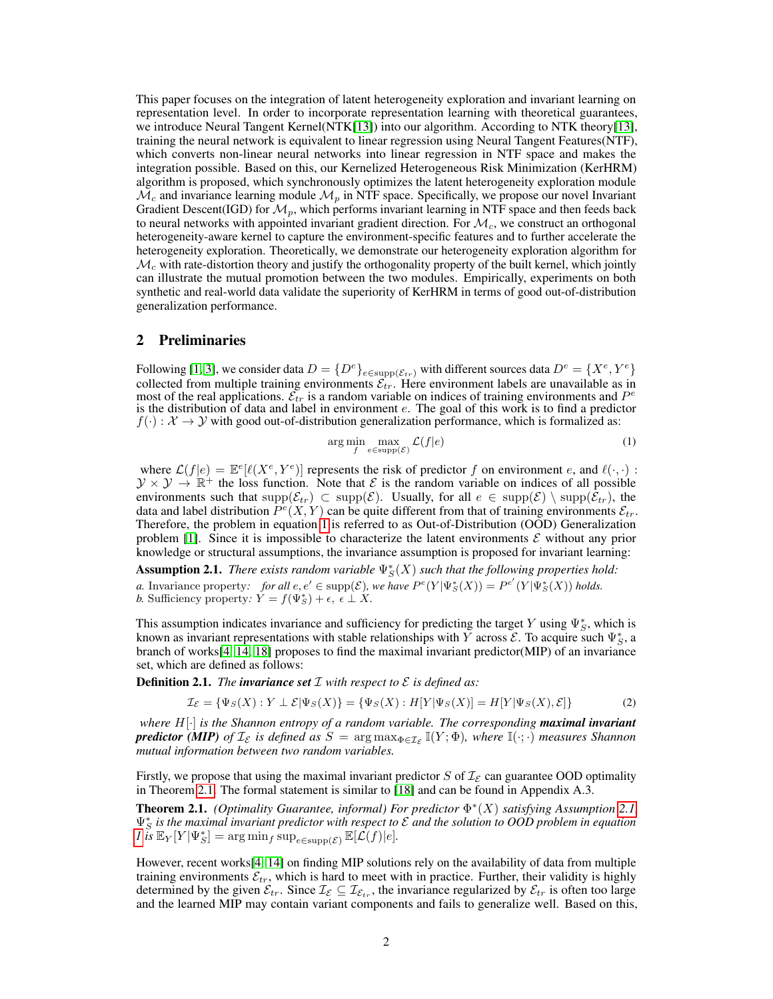This paper focuses on the integration of latent heterogeneity exploration and invariant learning on representation level. In order to incorporate representation learning with theoretical guarantees, we introduce Neural Tangent Kernel(NTK[\[13\]](#page-15-3)) into our algorithm. According to NTK theory[\[13\]](#page-15-3), training the neural network is equivalent to linear regression using Neural Tangent Features(NTF), which converts non-linear neural networks into linear regression in NTF space and makes the integration possible. Based on this, our Kernelized Heterogeneous Risk Minimization (KerHRM) algorithm is proposed, which synchronously optimizes the latent heterogeneity exploration module  $\mathcal{M}_c$  and invariance learning module  $\mathcal{M}_p$  in NTF space. Specifically, we propose our novel Invariant Gradient Descent(IGD) for  $\mathcal{M}_p$ , which performs invariant learning in NTF space and then feeds back to neural networks with appointed invariant gradient direction. For  $\mathcal{M}_c$ , we construct an orthogonal heterogeneity-aware kernel to capture the environment-specific features and to further accelerate the heterogeneity exploration. Theoretically, we demonstrate our heterogeneity exploration algorithm for  $\mathcal{M}_c$  with rate-distortion theory and justify the orthogonality property of the built kernel, which jointly can illustrate the mutual promotion between the two modules. Empirically, experiments on both synthetic and real-world data validate the superiority of KerHRM in terms of good out-of-distribution generalization performance.

# <span id="page-1-3"></span>2 Preliminaries

Following [\[1,](#page-15-1) [3\]](#page-15-4), we consider data  $D = \{D^e\}_{e \in \text{supp}(\mathcal{E}_{tr})}$  with different sources data  $D^e = \{X^e, Y^e\}$ collected from multiple training environments  $\mathcal{E}_{tr}$ . Here environment labels are unavailable as in most of the real applications.  $\mathcal{E}_{tr}$  is a random variable on indices of training environments and  $P^e$ is the distribution of data and label in environment  $e$ . The goal of this work is to find a predictor  $f(\cdot): \mathcal{X} \to \mathcal{Y}$  with good out-of-distribution generalization performance, which is formalized as:

<span id="page-1-0"></span>
$$
\underset{f}{\arg\min} \max_{e \in \text{supp}(\mathcal{E})} \mathcal{L}(f|e) \tag{1}
$$

where  $\mathcal{L}(f|e) = \mathbb{E}^{e}[\ell(X^{e}, Y^{e})]$  represents the risk of predictor f on environment e, and  $\ell(\cdot, \cdot)$ :  $\mathcal{Y} \times \mathcal{Y} \to \mathbb{R}^+$  the loss function. Note that  $\mathcal{E}$  is the random variable on indices of all possible environments such that  $\text{supp}(\mathcal{E}_{tr}) \subset \text{supp}(\mathcal{E})$ . Usually, for all  $e \in \text{supp}(\mathcal{E}) \setminus \text{supp}(\mathcal{E}_{tr})$ , the data and label distribution  $\overline{P^e(X,Y)}$  can be quite different from that of training environments  $\mathcal{E}_{tr}$ . Therefore, the problem in equation [1](#page-1-0) is referred to as Out-of-Distribution (OOD) Generalization problem [\[1\]](#page-15-1). Since it is impossible to characterize the latent environments  $\mathcal E$  without any prior knowledge or structural assumptions, the invariance assumption is proposed for invariant learning:

<span id="page-1-2"></span>**Assumption 2.1.** *There exists random variable*  $\Psi_S^*(X)$  *such that the following properties hold: a.* Invariance property: for all  $e, e' \in \text{supp}(\mathcal{E})$ , we have  $P^e(Y | \Psi_S^*(X)) = P^{e'}(Y | \Psi_S^*(X))$  holds. *b.* Sufficiency property:  $\check{Y} = f(\Psi_S^*) + \epsilon, \, \hat{\epsilon} \perp \check{X}$ .

This assumption indicates invariance and sufficiency for predicting the target Y using  $\Psi_S^*$ , which is known as invariant representations with stable relationships with  $\overline{Y}$  across  $\overline{\mathcal{E}}$ . To acquire such  $\Psi_S^*$ , a branch of works[\[4,](#page-15-5) [14,](#page-15-6) [18\]](#page-16-3) proposes to find the maximal invariant predictor(MIP) of an invariance set, which are defined as follows:

**Definition 2.1.** *The invariance set*  $\mathcal I$  *with respect to*  $\mathcal E$  *is defined as:* 

$$
\mathcal{I}_{\mathcal{E}} = \{ \Psi_S(X) : Y \perp \mathcal{E} | \Psi_S(X) \} = \{ \Psi_S(X) : H[Y | \Psi_S(X)] = H[Y | \Psi_S(X), \mathcal{E}] \}
$$
(2)

*where* H[·] *is the Shannon entropy of a random variable. The corresponding maximal invariant predictor* (MIP) of  $I_{\mathcal{E}}$  is defined as  $S = \argmax_{\Phi \in I_{\mathcal{E}}} \mathbb{I}(Y; \Phi)$ , where  $\mathbb{I}(\cdot; \cdot)$  measures Shannon *mutual information between two random variables.*

Firstly, we propose that using the maximal invariant predictor S of  $\mathcal{I}_{\mathcal{E}}$  can guarantee OOD optimality in Theorem [2.1.](#page-1-1) The formal statement is similar to [\[18\]](#page-16-3) and can be found in Appendix A.3.

<span id="page-1-1"></span>Theorem 2.1. *(Optimality Guarantee, informal) For predictor* Φ ∗ (X) *satisfying Assumption [2.1,](#page-1-2)*  $\Psi_S^*$  is the maximal invariant predictor with respect to  $\mathcal E$  and the solution to OOD problem in equation  $I \text{ is } \mathbb{E}_Y[Y|\Psi^*_{S}] = \arg \min_f \sup_{e \in \text{supp}(\mathcal{E})} \mathbb{E}[\mathcal{L}(f)|e].$ 

However, recent works[\[4,](#page-15-5) [14\]](#page-15-6) on finding MIP solutions rely on the availability of data from multiple training environments  $\mathcal{E}_{tr}$ , which is hard to meet with in practice. Further, their validity is highly determined by the given  $\mathcal{E}_{tr}$ . Since  $\mathcal{I}_{\mathcal{E}} \subseteq \mathcal{I}_{\mathcal{E}_{tr}}$ , the invariance regularized by  $\mathcal{E}_{tr}$  is often too large and the learned MIP may contain variant components and fails to generalize well. Based on this,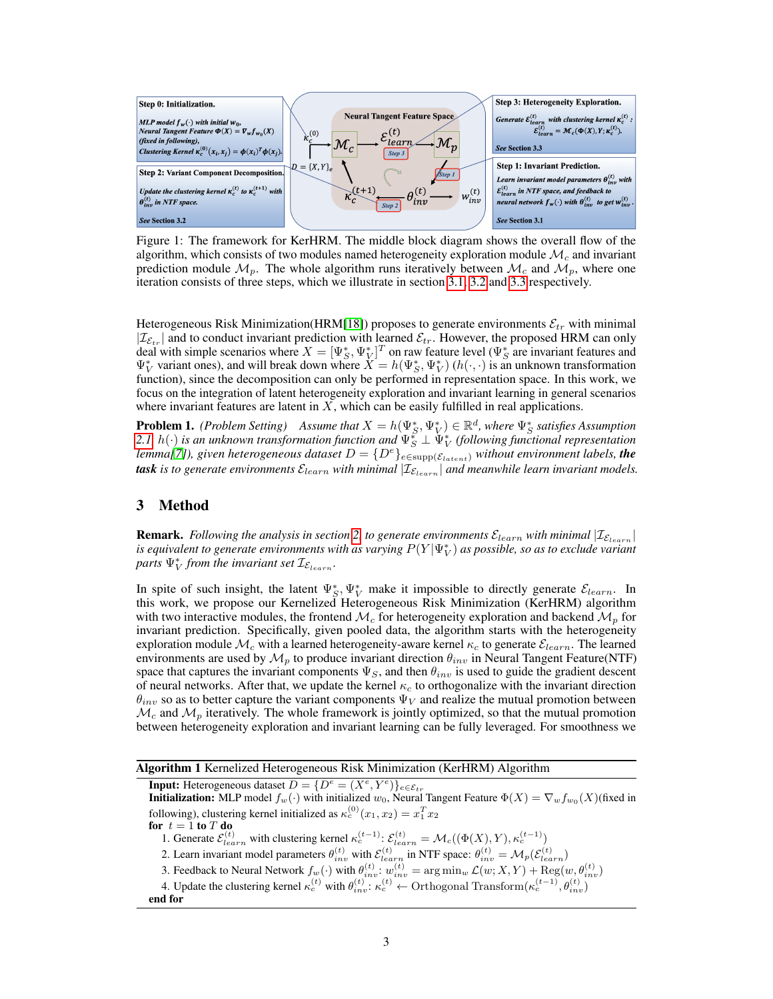

<span id="page-2-0"></span>Figure 1: The framework for KerHRM. The middle block diagram shows the overall flow of the algorithm, which consists of two modules named heterogeneity exploration module  $\mathcal{M}_c$  and invariant prediction module  $\mathcal{M}_p$ . The whole algorithm runs iteratively between  $\mathcal{M}_c$  and  $\mathcal{M}_p$ , where one iteration consists of three steps, which we illustrate in section [3.1,](#page-3-0) [3.2](#page-3-1) and [3.3](#page-4-0) respectively.

Heterogeneous Risk Minimization(HRM[\[18\]](#page-16-3)) proposes to generate environments  $\mathcal{E}_{tr}$  with minimal  $|\mathcal{I}_{\mathcal{E}_{tr}}|$  and to conduct invariant prediction with learned  $\mathcal{E}_{tr}$ . However, the proposed HRM can only deal with simple scenarios where  $X = [\Psi_S^*, \Psi_V^*]^T$  on raw feature level ( $\Psi_S^*$  are invariant features and  $\Psi_V^*$  variant ones), and will break down where  $X = h(\Psi_S^*, \Psi_V^*)$  ( $h(\cdot, \cdot)$ ) is an unknown transformation function), since the decomposition can only be performed in representation space. In this work, we focus on the integration of latent heterogeneity exploration and invariant learning in general scenarios where invariant features are latent in  $X$ , which can be easily fulfilled in real applications.

**Problem 1.** *(Problem Setting)* Assume that  $X = h(\Psi_S^*, \Psi_V^*) \in \mathbb{R}^d$ , where  $\Psi_S^*$  satisfies Assumption [2.1,](#page-1-2)  $h(\cdot)$  *is an unknown transformation function and*  $\Psi_S^* \perp \Psi_V^*$  (following functional representation *lemma*[\[7\]](#page-15-7)), given heterogeneous dataset  $D = \{D^e\}_{e \in \text{supp}(\mathcal{E}_{latent})}$  without environment labels, the **task** is to generate environments  $\mathcal{E}_{learn}$  with minimal  $|\mathcal{I}_{\mathcal{E}_{learn}}|$  and meanwhile learn invariant models.

# 3 Method

**Remark.** *Following the analysis in section* [2,](#page-1-3) *to generate environments*  $\mathcal{E}_{learn}$  *with minimal*  $|\mathcal{I}_{\mathcal{E}_{learn}}|$ is equivalent to generate environments with as varying  $P(Y|\Psi_V^*)$  as possible, so as to exclude variant  $\mathbb{P}_{V}$  *from the invariant set*  $\mathcal{I}_{\mathcal{E}_{learn}}$ *.* 

In spite of such insight, the latent  $\Psi_S^*$ ,  $\Psi_V^*$  make it impossible to directly generate  $\mathcal{E}_{learn}$ . In this work, we propose our Kernelized Heterogeneous Risk Minimization (KerHRM) algorithm with two interactive modules, the frontend  $\mathcal{M}_c$  for heterogeneity exploration and backend  $\mathcal{M}_p$  for invariant prediction. Specifically, given pooled data, the algorithm starts with the heterogeneity exploration module  $\mathcal{M}_c$  with a learned heterogeneity-aware kernel  $\kappa_c$  to generate  $\mathcal{E}_{learn}$ . The learned environments are used by  $\mathcal{M}_p$  to produce invariant direction  $\theta_{inv}$  in Neural Tangent Feature(NTF) space that captures the invariant components  $\Psi_S$ , and then  $\theta_{inv}$  is used to guide the gradient descent of neural networks. After that, we update the kernel  $\kappa_c$  to orthogonalize with the invariant direction  $\theta_{inv}$  so as to better capture the variant components  $\Psi_V$  and realize the mutual promotion between  $\mathcal{M}_c$  and  $\mathcal{M}_p$  iteratively. The whole framework is jointly optimized, so that the mutual promotion between heterogeneity exploration and invariant learning can be fully leveraged. For smoothness we

Algorithm 1 Kernelized Heterogeneous Risk Minimization (KerHRM) Algorithm

**Input:** Heterogeneous dataset  $D = \{D^e = (X^e, Y^e)\}_{e \in \mathcal{E}_{tr}}$ **Initialization:** MLP model  $f_w(\cdot)$  with initialized  $w_0$ , Neural Tangent Feature  $\Phi(X) = \nabla_w f_{w_0}(X)$  (fixed in following), clustering kernel initialized as  $\kappa_c^{(0)}(x_1, x_2) = x_1^T x_2$ for  $t = 1$  to  $T$  do 1. Generate  $\mathcal{E}^{(t)}_{learn}$  with clustering kernel  $\kappa_c^{(t-1)}$ :  $\mathcal{E}^{(t)}_{learn} = \mathcal{M}_c((\Phi(X), Y), \kappa_c^{(t-1)})$ 2. Learn invariant model parameters  $\theta_{inv}^{(t)}$  with  $\mathcal{E}_{learn}^{(t)}$  in NTF space:  $\theta_{inv}^{(t)} = \mathcal{M}_p(\mathcal{E}_{learn}^{(t)})$ 3. Feedback to Neural Network  $f_w(\cdot)$  with  $\theta_{inv}^{(t)}$ :  $w_{inv}^{(t)} = \arg \min_w \mathcal{L}(w; X, Y) + \text{Reg}(w, \theta_{inv}^{(t)})$ 4. Update the clustering kernel  $\kappa_c^{(t)}$  with  $\theta_{inv}^{(t)}$ :  $\kappa_c^{(t)} \leftarrow$  Orthogonal Transform $(\kappa_c^{(t-1)}, \theta_{inv}^{(t)})$ end for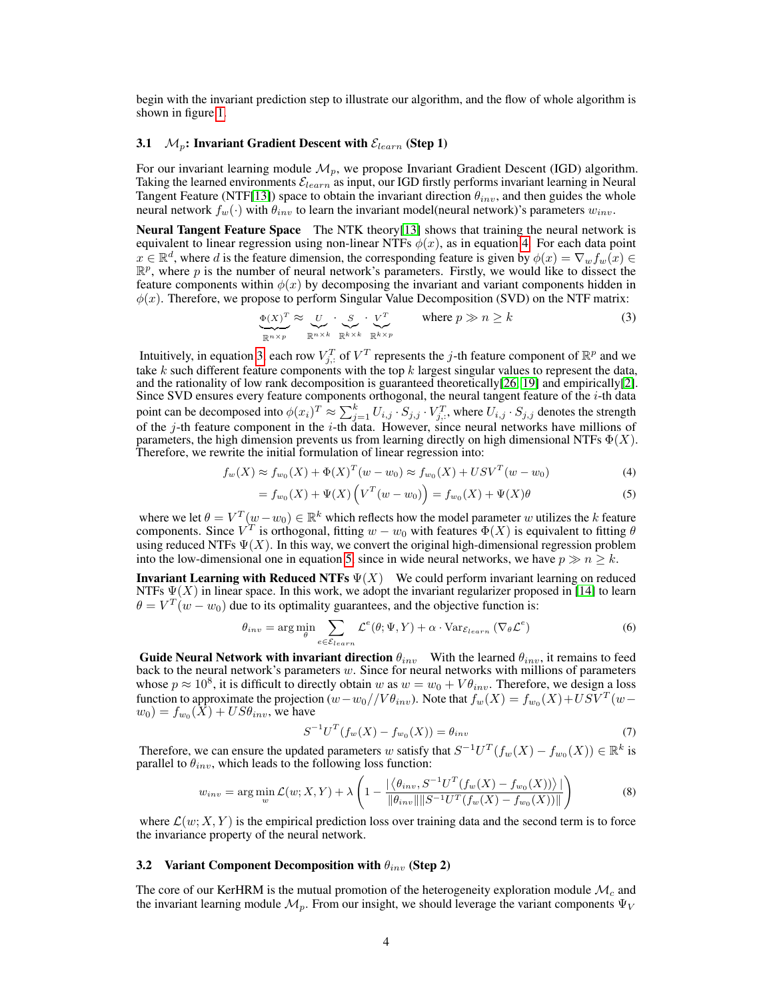begin with the invariant prediction step to illustrate our algorithm, and the flow of whole algorithm is shown in figure [1.](#page-2-0)

# <span id="page-3-0"></span>3.1  $\mathcal{M}_p$ : Invariant Gradient Descent with  $\mathcal{E}_{learn}$  (Step 1)

For our invariant learning module  $\mathcal{M}_n$ , we propose Invariant Gradient Descent (IGD) algorithm. Taking the learned environments  $\mathcal{E}_{learn}$  as input, our IGD firstly performs invariant learning in Neural Tangent Feature (NTF[\[13\]](#page-15-3)) space to obtain the invariant direction  $\theta_{inv}$ , and then guides the whole neural network  $f_w(\cdot)$  with  $\theta_{inv}$  to learn the invariant model(neural network)'s parameters  $w_{inv}$ .

Neural Tangent Feature Space The NTK theory[\[13\]](#page-15-3) shows that training the neural network is equivalent to linear regression using non-linear NTFs  $\phi(x)$ , as in equation [4.](#page-3-2) For each data point  $x \in \mathbb{R}^d$ , where d is the feature dimension, the corresponding feature is given by  $\phi(x) = \nabla_w f_w(x) \in$  $\mathbb{R}^p$ , where p is the number of neural network's parameters. Firstly, we would like to dissect the feature components within  $\phi(x)$  by decomposing the invariant and variant components hidden in  $\phi(x)$ . Therefore, we propose to perform Singular Value Decomposition (SVD) on the NTF matrix:

<span id="page-3-3"></span>
$$
\underbrace{\Phi(X)^{T}}_{\mathbb{R}^{n \times p}} \approx \underbrace{U}_{\mathbb{R}^{n \times k}} \cdot \underbrace{S}_{\mathbb{R}^{k \times k}} \cdot \underbrace{V^{T}}_{\mathbb{R}^{k \times p}} \qquad \text{where } p \gg n \ge k \tag{3}
$$

Intuitively, in equation [3,](#page-3-3) each row  $V_{j,:}^T$  of  $V^T$  represents the j-th feature component of  $\mathbb{R}^p$  and we take k such different feature components with the top  $k$  largest singular values to represent the data, and the rationality of low rank decomposition is guaranteed theoretically[\[26,](#page-16-4) [19\]](#page-16-5) and empirically[\[2\]](#page-15-8). Since SVD ensures every feature components orthogonal, the neural tangent feature of the *i*-th data point can be decomposed into  $\phi(x_i)^T \approx \sum_{j=1}^k U_{i,j} \cdot S_{j,j} \cdot V_{j,:}^T$ , where  $U_{i,j} \cdot S_{j,j}$  denotes the strength of the  $j$ -th feature component in the  $i$ -th data. However, since neural networks have millions of parameters, the high dimension prevents us from learning directly on high dimensional NTFs  $\Phi(X)$ . Therefore, we rewrite the initial formulation of linear regression into:

$$
f_w(X) \approx f_{w_0}(X) + \Phi(X)^T (w - w_0) \approx f_{w_0}(X) + USV^T (w - w_0)
$$
\n(4)

<span id="page-3-4"></span><span id="page-3-2"></span>
$$
= f_{w_0}(X) + \Psi(X) \left( V^T(w - w_0) \right) = f_{w_0}(X) + \Psi(X)\theta \tag{5}
$$

where we let  $\theta = V^T(w - w_0) \in \mathbb{R}^k$  which reflects how the model parameter w utilizes the k feature components. Since  $V^T$  is orthogonal, fitting  $w - w_0$  with features  $\Phi(X)$  is equivalent to fitting  $\theta$ using reduced NTFs  $\Psi(X)$ . In this way, we convert the original high-dimensional regression problem into the low-dimensional one in equation [5,](#page-3-4) since in wide neural networks, we have  $p \gg n \geq k$ .

**Invariant Learning with Reduced NTFs**  $\Psi(X)$  We could perform invariant learning on reduced NTFs  $\Psi(X)$  in linear space. In this work, we adopt the invariant regularizer proposed in [\[14\]](#page-15-6) to learn  $\theta = V^T(w - w_0)$  due to its optimality guarantees, and the objective function is:

$$
\theta_{inv} = \arg\min_{\theta} \sum_{e \in \mathcal{E}_{learn}} \mathcal{L}^{e}(\theta; \Psi, Y) + \alpha \cdot \text{Var}_{\mathcal{E}_{learn}} (\nabla_{\theta} \mathcal{L}^{e})
$$
(6)

Guide Neural Network with invariant direction  $\theta_{inv}$  With the learned  $\theta_{inv}$ , it remains to feed back to the neural network's parameters  $w$ . Since for neural networks with millions of parameters whose  $p \approx 10^8$ , it is difficult to directly obtain w as  $w = w_0 + V\theta_{inv}$ . Therefore, we design a loss function to approximate the projection  $(w - w_0) / V \theta_{inv}$ ). Note that  $f_w(X) = f_{w_0}(X) + USV^T(w$  $w_0) = f_{w_0}(X) + US\theta_{inv}$ , we have

<span id="page-3-5"></span>
$$
S^{-1}U^{T}(f_{w}(X) - f_{w_{0}}(X)) = \theta_{inv}
$$
\n(7)

Therefore, we can ensure the updated parameters w satisfy that  $S^{-1}U^{T}(f_{w}(X) - f_{w_0}(X)) \in \mathbb{R}^{k}$  is parallel to  $\theta_{inv}$ , which leads to the following loss function:

$$
w_{inv} = \arg\min_{w} \mathcal{L}(w; X, Y) + \lambda \left( 1 - \frac{|\langle \theta_{inv}, S^{-1}U^{T}(f_{w}(X) - f_{w_{0}}(X)) \rangle|}{\|\theta_{inv}\| \|S^{-1}U^{T}(f_{w}(X) - f_{w_{0}}(X))\|} \right)
$$
(8)

where  $\mathcal{L}(w; X, Y)$  is the empirical prediction loss over training data and the second term is to force the invariance property of the neural network.

#### <span id="page-3-1"></span>3.2 Variant Component Decomposition with  $\theta_{inv}$  (Step 2)

The core of our KerHRM is the mutual promotion of the heterogeneity exploration module  $\mathcal{M}_c$  and the invariant learning module  $\mathcal{M}_v$ . From our insight, we should leverage the variant components  $\Psi_V$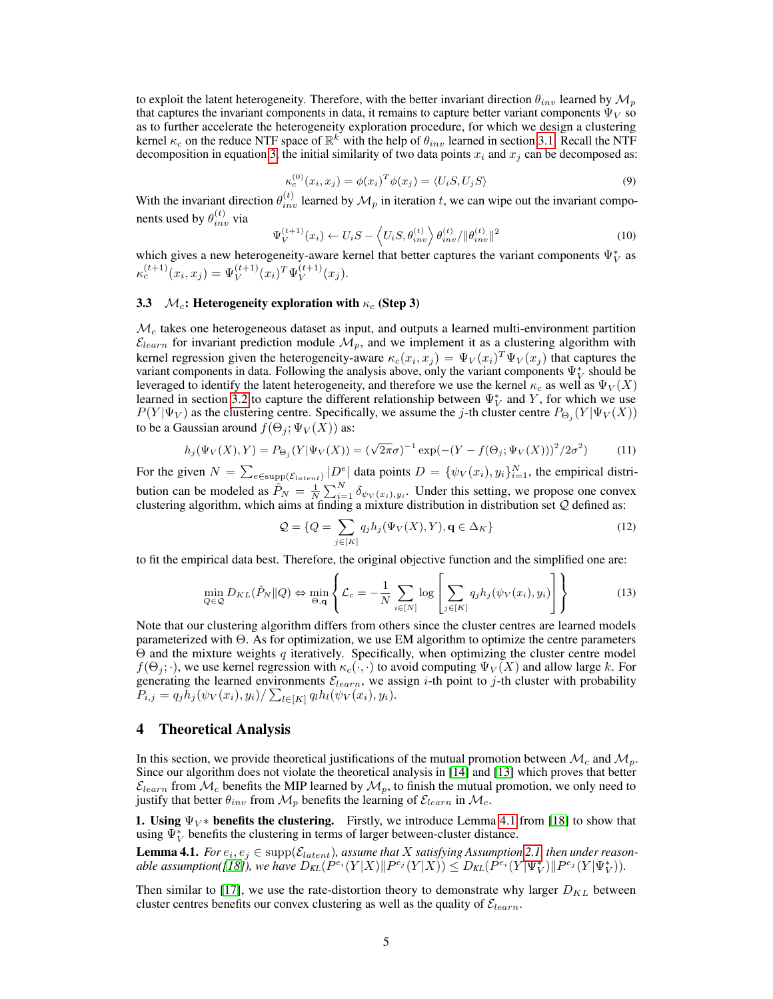to exploit the latent heterogeneity. Therefore, with the better invariant direction  $\theta_{inv}$  learned by  $\mathcal{M}_p$ that captures the invariant components in data, it remains to capture better variant components  $\Psi_V$  so as to further accelerate the heterogeneity exploration procedure, for which we design a clustering kernel  $\kappa_c$  on the reduce NTF space of  $\mathbb{R}^k$  with the help of  $\theta_{inv}$  learned in section [3.1.](#page-3-0) Recall the NTF decomposition in equation [3,](#page-3-3) the initial similarity of two data points  $x_i$  and  $x_j$  can be decomposed as:

$$
\kappa_c^{(0)}(x_i, x_j) = \phi(x_i)^T \phi(x_j) = \langle U_i S, U_j S \rangle \tag{9}
$$

<span id="page-4-2"></span>With the invariant direction  $\theta_{inv}^{(t)}$  learned by  $\mathcal{M}_p$  in iteration t, we can wipe out the invariant components used by  $\theta_{inv}^{(t)}$  via

$$
\Psi_V^{(t+1)}(x_i) \leftarrow U_i S - \left\langle U_i S, \theta_{inv}^{(t)} \right\rangle \theta_{inv}^{(t)} / \|\theta_{inv}^{(t)}\|^2 \tag{10}
$$

which gives a new heterogeneity-aware kernel that better captures the variant components  $\Psi_V^*$  as  $\kappa_c^{(t+1)}(x_i, x_j) = \Psi_V^{(t+1)}(x_i)^T \Psi_V^{(t+1)}$  $V^{(t+1)}(x_j).$ 

### <span id="page-4-0"></span>3.3  $\mathcal{M}_c$ : Heterogeneity exploration with  $\kappa_c$  (Step 3)

 $\mathcal{M}_c$  takes one heterogeneous dataset as input, and outputs a learned multi-environment partition  $\mathcal{E}_{learn}$  for invariant prediction module  $\mathcal{M}_p$ , and we implement it as a clustering algorithm with kernel regression given the heterogeneity-aware  $\kappa_c(x_i, x_j) = \Psi_V(x_i)^T \Psi_V(x_j)$  that captures the variant components in data. Following the analysis above, only the variant components  $\Psi_V^*$  should be leveraged to identify the latent heterogeneity, and therefore we use the kernel  $\kappa_c$  as well as  $\Psi_V(X)$ learned in section [3.2](#page-3-1) to capture the different relationship between  $\Psi_V^*$  and Y, for which we use  $P(Y|\Psi_V)$  as the clustering centre. Specifically, we assume the j-th cluster centre  $P_{\Theta_j}(Y|\Psi_V(X))$ to be a Gaussian around  $f(\Theta_i; \Psi_V(X))$  as:

$$
h_j(\Psi_V(X), Y) = P_{\Theta_j}(Y|\Psi_V(X)) = (\sqrt{2\pi}\sigma)^{-1} \exp(-(Y - f(\Theta_j; \Psi_V(X)))^2/2\sigma^2)
$$
(11)

For the given  $N = \sum_{e \in \text{supp}(\mathcal{E}_{latent})} |D^e|$  data points  $D = \{\psi_V(x_i), y_i\}_{i=1}^N$ , the empirical distribution can be modeled as  $\hat{P}_N = \frac{1}{N} \sum_{i=1}^N \delta_{\psi_V(x_i), y_i}$ . Under this setting, we propose one convex clustering algorithm, which aims at finding a mixture distribution in distribution set  $Q$  defined as:

$$
\mathcal{Q} = \{Q = \sum_{j \in [K]} q_j h_j(\Psi_V(X), Y), \mathbf{q} \in \Delta_K\}
$$
\n(12)

to fit the empirical data best. Therefore, the original objective function and the simplified one are:

$$
\min_{Q \in \mathcal{Q}} D_{KL}(\hat{P}_N || Q) \Leftrightarrow \min_{\Theta, \mathbf{q}} \left\{ \mathcal{L}_c = -\frac{1}{N} \sum_{i \in [N]} \log \left[ \sum_{j \in [K]} q_j h_j(\psi_V(x_i), y_i) \right] \right\} \tag{13}
$$

Note that our clustering algorithm differs from others since the cluster centres are learned models parameterized with Θ. As for optimization, we use EM algorithm to optimize the centre parameters  $\Theta$  and the mixture weights q iteratively. Specifically, when optimizing the cluster centre model  $f(\Theta_i; \cdot)$ , we use kernel regression with  $\kappa_c(\cdot, \cdot)$  to avoid computing  $\Psi_V(X)$  and allow large k. For generating the learned environments  $\mathcal{E}_{learn}$ , we assign *i*-th point to *j*-th cluster with probability  $P_{i,j} = q_j h_j(\psi_V(x_i), y_i) / \sum_{l \in [K]} q_l h_l(\psi_V(x_i), y_i).$ 

# 4 Theoretical Analysis

In this section, we provide theoretical justifications of the mutual promotion between  $\mathcal{M}_c$  and  $\mathcal{M}_p$ . Since our algorithm does not violate the theoretical analysis in [\[14\]](#page-15-6) and [\[13\]](#page-15-3) which proves that better  $\mathcal{E}_{learn}$  from  $\mathcal{M}_c$  benefits the MIP learned by  $\mathcal{M}_p$ , to finish the mutual promotion, we only need to justify that better  $\theta_{inv}$  from  $\mathcal{M}_p$  benefits the learning of  $\mathcal{E}_{learn}$  in  $\mathcal{M}_c$ .

1. Using  $\Psi_V^*$  benefits the clustering. Firstly, we introduce Lemma [4.1](#page-4-1) from [\[18\]](#page-16-3) to show that using  $\Psi_V^*$  benefits the clustering in terms of larger between-cluster distance.

<span id="page-4-1"></span>**Lemma 4.1.** For  $e_i, e_j \in \text{supp}(\mathcal{E}_{latent})$ , assume that X satisfying Assumption [2.1,](#page-1-2) then under reason- $\Delta$  able assumption([\[18\]](#page-16-3)), we have  $D_{\text{KL}}(P^{e_i}(Y|X)\| P^{e_j}(Y|X)) \leq D_{\text{KL}}(P^{e_i}(Y|\Psi^*_V)\| P^{e_j}(Y|\Psi^*_V)).$ 

Then similar to [\[17\]](#page-16-6), we use the rate-distortion theory to demonstrate why larger  $D_{KL}$  between cluster centres benefits our convex clustering as well as the quality of  $\mathcal{E}_{learn}$ .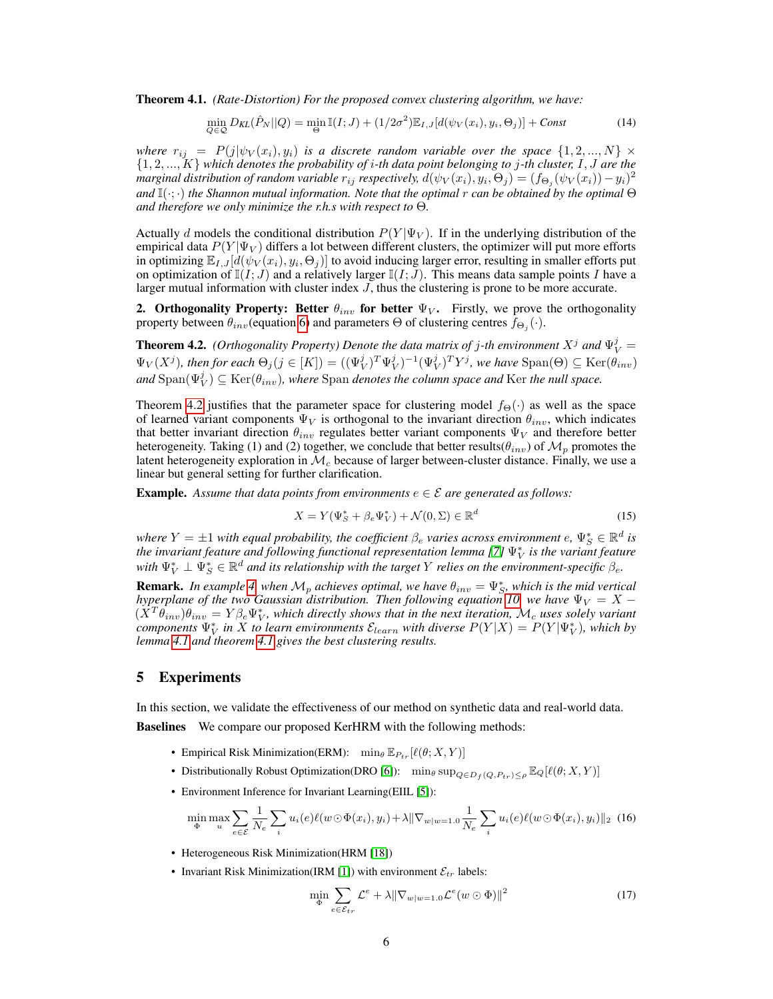<span id="page-5-1"></span>Theorem 4.1. *(Rate-Distortion) For the proposed convex clustering algorithm, we have:*

$$
\min_{Q \in \mathcal{Q}} D_{KL}(\hat{P}_N || Q) = \min_{\Theta} \mathbb{I}(I; J) + (1/2\sigma^2) \mathbb{E}_{I, J}[d(\psi_V(x_i), y_i, \Theta_j)] + \text{Const} \tag{14}
$$

*where*  $r_{ij}$  =  $P(j|\psi_V(x_i), y_i)$  *is a discrete random variable over the space*  $\{1, 2, ..., N\}$   $\times$ {1, 2, ..., K} *which denotes the probability of* i*-th data point belonging to* j*-th cluster,* I, J *are the marginal distribution of random variable*  $r_{ij}$  *respectively,*  $d(\psi_V(x_i), y_i, \Theta_j) = (f_{\Theta_j}(\psi_V(x_i)) - y_i)^2$ *and* I(·; ·) *the Shannon mutual information. Note that the optimal* r *can be obtained by the optimal* Θ *and therefore we only minimize the r.h.s with respect to* Θ*.*

Actually d models the conditional distribution  $P(Y|\Psi_V)$ . If in the underlying distribution of the empirical data  $P(Y|\Psi_V)$  differs a lot between different clusters, the optimizer will put more efforts in optimizing  $\mathbb{E}_{I,J}[d(\psi_V(x_i), y_i, \Theta_j)]$  to avoid inducing larger error, resulting in smaller efforts put on optimization of  $\mathbb{I}(I; J)$  and a relatively larger  $\mathbb{I}(I; J)$ . This means data sample points I have a larger mutual information with cluster index  $J$ , thus the clustering is prone to be more accurate.

2. Orthogonality Property: Better  $\theta_{inv}$  for better  $\Psi_V$ . Firstly, we prove the orthogonality property between  $\theta_{inv}$ (equation [6\)](#page-3-5) and parameters  $\Theta$  of clustering centres  $f_{\Theta_j}(\cdot)$ .

<span id="page-5-0"></span>**Theorem 4.2.** *(Orthogonality Property) Denote the data matrix of j-th environment*  $X^j$  *and*  $\Psi_V^j$  =  $\Psi_V(X^j)$ , then for each  $\Theta_j(j \in [K]) = ((\Psi_V^j)^T \Psi_V^j)^{-1} (\Psi_V^j)^T Y^j$ , we have  $\text{Span}(\Theta) \subseteq \text{Ker}(\theta_{inv})$  $and$   $\text{Span}(\Psi_V^j) \subseteq \text{Ker}(\theta_{inv})$ , where  $\text{Span}$  denotes the column space and  $\text{Ker}$  the null space.

Theorem [4.2](#page-5-0) justifies that the parameter space for clustering model  $f_{\Theta}(\cdot)$  as well as the space of learned variant components  $\Psi_V$  is orthogonal to the invariant direction  $\theta_{inv}$ , which indicates that better invariant direction  $\theta_{inv}$  regulates better variant components  $\Psi_V$  and therefore better heterogeneity. Taking (1) and (2) together, we conclude that better results( $\theta_{inv}$ ) of  $\mathcal{M}_p$  promotes the latent heterogeneity exploration in  $\mathcal{M}_c$  because of larger between-cluster distance. Finally, we use a linear but general setting for further clarification.

**Example.** Assume that data points from environments  $e \in \mathcal{E}$  are generated as follows:

$$
X = Y(\Psi_S^* + \beta_e \Psi_V^*) + \mathcal{N}(0, \Sigma) \in \mathbb{R}^d
$$
\n
$$
(15)
$$

where  $Y=\pm 1$  with equal probability, the coefficient  $\beta_e$  varies across environment  $e, \Psi_S^*\in \mathbb{R}^d$  is the invariant feature and following functional representation lemma [\[7\]](#page-15-7)  $\Psi_V^*$  is the variant feature with  $\Psi_V^* \perp \Psi_S^* \in \mathbb{R}^d$  and its relationship with the target Y relies on the environment-specific  $\beta_e$ .

**Remark.** In example [4,](#page-5-0) when  $\mathcal{M}_p$  achieves optimal, we have  $\theta_{inv} = \Psi_S^*$ , which is the mid vertical *hyperplane of the two Gaussian distribution. Then following equation [10,](#page-4-2) we have*  $\Psi_V = X (\hat{X}^T \hat{\theta}_{inv})\theta_{inv} = Y\beta_e \Psi_V^*$ , which directly shows that in the next iteration,  $\mathcal{M}_c$  uses solely variant *components*  $\Psi^*_V$  *in*  $\overline{X}$  *to learn environments*  $\mathcal{E}_{learn}$  *with diverse*  $P(Y|X) = P(Y|\Psi^*_V)$ *, which by lemma [4.1](#page-4-1) and theorem [4.1](#page-5-1) gives the best clustering results.*

# 5 Experiments

In this section, we validate the effectiveness of our method on synthetic data and real-world data. Baselines We compare our proposed KerHRM with the following methods:

- Empirical Risk Minimization(ERM):  $\min_{\theta} \mathbb{E}_{P_{tr}}[\ell(\theta; X, Y)]$
- Distributionally Robust Optimization(DRO [\[6\]](#page-15-9)): min $_\theta$  sup $_{Q \in D_f(Q,P_{tr}) \leq \rho} \mathbb{E}_Q[\ell(\theta; X, Y)]$
- Environment Inference for Invariant Learning(EIIL [\[5\]](#page-15-2)):

$$
\min_{\Phi} \max_{u} \sum_{e \in \mathcal{E}} \frac{1}{N_e} \sum_{i} u_i(e) \ell(w \odot \Phi(x_i), y_i) + \lambda \|\nabla_{w|w=1.0} \frac{1}{N_e} \sum_{i} u_i(e) \ell(w \odot \Phi(x_i), y_i) \|_2
$$
 (16)

- Heterogeneous Risk Minimization(HRM [\[18\]](#page-16-3))
- Invariant Risk Minimization(IRM [\[1\]](#page-15-1)) with environment  $\mathcal{E}_{tr}$  labels:

$$
\min_{\Phi} \sum_{e \in \mathcal{E}_{tr}} \mathcal{L}^e + \lambda \|\nabla_{w|w=1.0} \mathcal{L}^e(w \odot \Phi)\|^2 \tag{17}
$$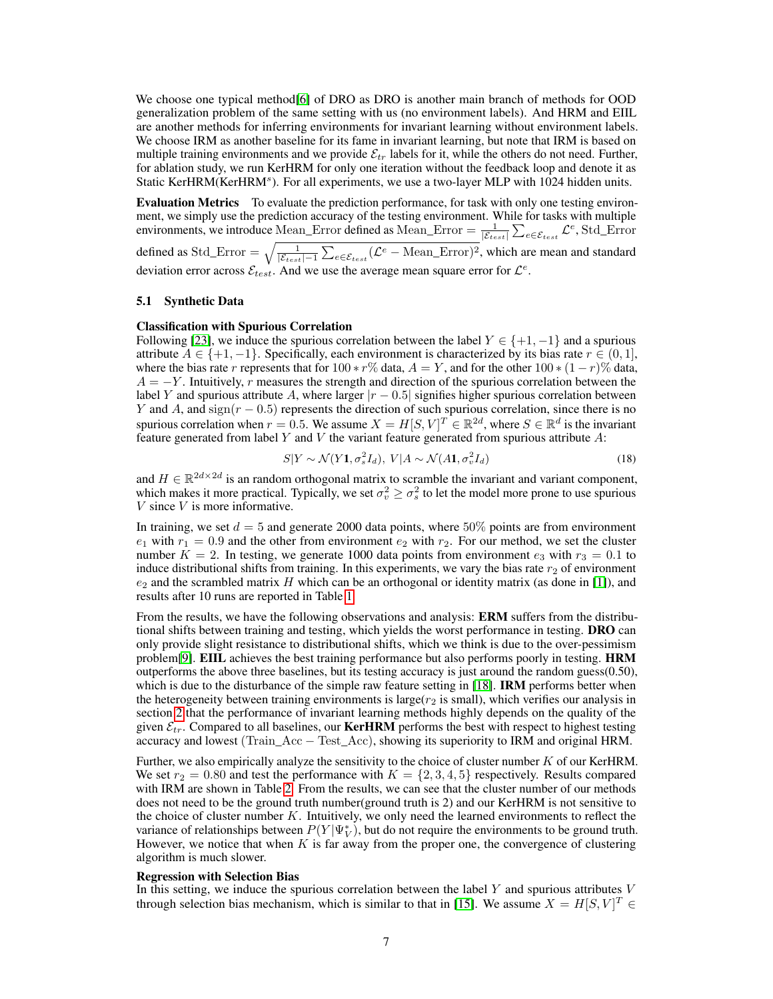We choose one typical method[\[6\]](#page-15-9) of DRO as DRO is another main branch of methods for OOD generalization problem of the same setting with us (no environment labels). And HRM and EIIL are another methods for inferring environments for invariant learning without environment labels. We choose IRM as another baseline for its fame in invariant learning, but note that IRM is based on multiple training environments and we provide  $\mathcal{E}_{tr}$  labels for it, while the others do not need. Further, for ablation study, we run KerHRM for only one iteration without the feedback loop and denote it as Static KerHRM(KerHRM<sup>s</sup>). For all experiments, we use a two-layer MLP with 1024 hidden units.

Evaluation Metrics To evaluate the prediction performance, for task with only one testing environment, we simply use the prediction accuracy of the testing environment. While for tasks with multiple environments, we introduce Mean\_Error defined as Mean\_Error  $= \frac{1}{|\mathcal{E}_{test}|} \sum_{e \in \mathcal{E}_{test}} \mathcal{L}^e$ , Std\_Error defined as Std\_Error  $=\sqrt{\frac{1}{|\mathcal{E}_{test}|-1}\sum_{e \in \mathcal{E}_{test}}(\mathcal{L}^e - \text{Mean\_Error})^2}$ , which are mean and standard deviation error across  $\mathcal{E}_{test}$ . And we use the average mean square error for  $\mathcal{L}^e$ .

#### 5.1 Synthetic Data

## Classification with Spurious Correlation

Following [\[23\]](#page-16-7), we induce the spurious correlation between the label  $Y \in \{+1, -1\}$  and a spurious attribute  $A \in \{+1, -1\}$ . Specifically, each environment is characterized by its bias rate  $r \in (0, 1]$ , where the bias rate r represents that for  $100 * r\%$  data,  $A = Y$ , and for the other  $100 * (1 - r)\%$  data,  $A = -Y$ . Intuitively, r measures the strength and direction of the spurious correlation between the label Y and spurious attribute A, where larger  $|r - 0.5|$  signifies higher spurious correlation between Y and A, and sign( $r - 0.5$ ) represents the direction of such spurious correlation, since there is no spurious correlation when  $r = 0.5$ . We assume  $X = H[S, V]^T \in \mathbb{R}^{2d}$ , where  $S \in \mathbb{R}^d$  is the invariant feature generated from label Y and V the variant feature generated from spurious attribute A:

$$
S|Y \sim \mathcal{N}(Y\mathbf{1}, \sigma_s^2 I_d), \ V|A \sim \mathcal{N}(A\mathbf{1}, \sigma_v^2 I_d)
$$
 (18)

and  $H \in \mathbb{R}^{2d \times 2d}$  is an random orthogonal matrix to scramble the invariant and variant component, which makes it more practical. Typically, we set  $\sigma_v^2 \ge \sigma_s^2$  to let the model more prone to use spurious  $V$  since  $V$  is more informative.

In training, we set  $d = 5$  and generate 2000 data points, where 50% points are from environment  $e_1$  with  $r_1 = 0.9$  and the other from environment  $e_2$  with  $r_2$ . For our method, we set the cluster number  $K = 2$ . In testing, we generate 1000 data points from environment  $e_3$  with  $r_3 = 0.1$  to induce distributional shifts from training. In this experiments, we vary the bias rate  $r_2$  of environment  $e_2$  and the scrambled matrix H which can be an orthogonal or identity matrix (as done in [\[1\]](#page-15-1)), and results after 10 runs are reported in Table [1.](#page-7-0)

From the results, we have the following observations and analysis: **ERM** suffers from the distributional shifts between training and testing, which yields the worst performance in testing. DRO can only provide slight resistance to distributional shifts, which we think is due to the over-pessimism problem[\[9\]](#page-15-10). **EIIL** achieves the best training performance but also performs poorly in testing. **HRM** outperforms the above three baselines, but its testing accuracy is just around the random guess(0.50), which is due to the disturbance of the simple raw feature setting in [\[18\]](#page-16-3). **IRM** performs better when the heterogeneity between training environments is large( $r_2$  is small), which verifies our analysis in section [2](#page-1-3) that the performance of invariant learning methods highly depends on the quality of the given  $\mathcal{E}_{tr}$ . Compared to all baselines, our **KerHRM** performs the best with respect to highest testing accuracy and lowest (Train\_Acc − Test\_Acc), showing its superiority to IRM and original HRM.

Further, we also empirically analyze the sensitivity to the choice of cluster number K of our KerHRM. We set  $r_2 = 0.80$  and test the performance with  $K = \{2, 3, 4, 5\}$  respectively. Results compared with IRM are shown in Table [2.](#page-7-1) From the results, we can see that the cluster number of our methods does not need to be the ground truth number(ground truth is 2) and our KerHRM is not sensitive to the choice of cluster number  $K$ . Intuitively, we only need the learned environments to reflect the variance of relationships between  $P(Y|\Psi_V^*)$ , but do not require the environments to be ground truth. However, we notice that when  $K$  is far away from the proper one, the convergence of clustering algorithm is much slower.

#### Regression with Selection Bias

In this setting, we induce the spurious correlation between the label  $Y$  and spurious attributes  $V$ through selection bias mechanism, which is similar to that in [\[15\]](#page-15-11). We assume  $X = H[S, V]^T \in$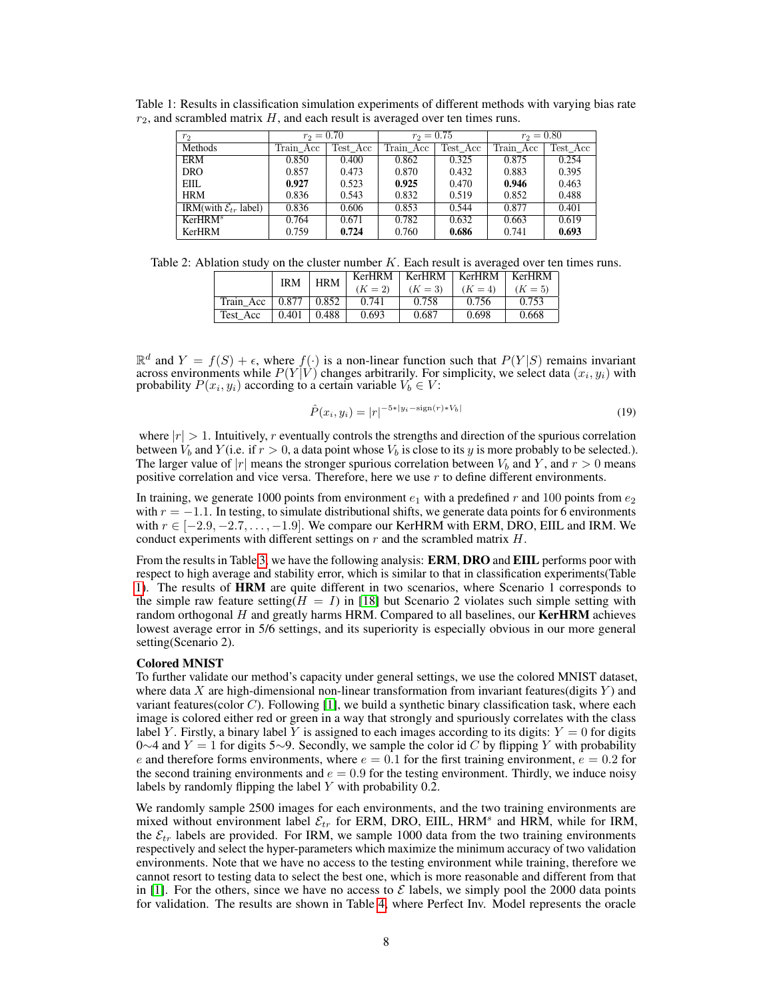| r <sub>2</sub>                     | $r_2 = 0.70$ |          | $r_2 = 0.75$ |          | $r_2 = 0.80$ |          |
|------------------------------------|--------------|----------|--------------|----------|--------------|----------|
| Methods                            | Train Acc    | Test Acc | Train Acc    | Test Acc | Train Acc    | Test Acc |
| ERM                                | 0.850        | 0.400    | 0.862        | 0.325    | 0.875        | 0.254    |
| DRO.                               | 0.857        | 0.473    | 0.870        | 0.432    | 0.883        | 0.395    |
| <b>EIIL</b>                        | 0.927        | 0.523    | 0.925        | 0.470    | 0.946        | 0.463    |
| <b>HRM</b>                         | 0.836        | 0.543    | 0.832        | 0.519    | 0.852        | 0.488    |
| IRM(with $\mathcal{E}_{tr}$ label) | 0.836        | 0.606    | 0.853        | 0.544    | 0.877        | 0.401    |
| KerHRM <sup>s</sup>                | 0.764        | 0.671    | 0.782        | 0.632    | 0.663        | 0.619    |
| <b>KerHRM</b>                      | 0.759        | 0.724    | 0.760        | 0.686    | 0.741        | 0.693    |

<span id="page-7-0"></span>Table 1: Results in classification simulation experiments of different methods with varying bias rate  $r_2$ , and scrambled matrix  $H$ , and each result is averaged over ten times runs.

<span id="page-7-1"></span>Table 2: Ablation study on the cluster number  $K$ . Each result is averaged over ten times runs.

|           | <b>IRM</b> | <b>HRM</b> |           |           | KerHRM   KerHRM   KerHRM   KerHRM |           |
|-----------|------------|------------|-----------|-----------|-----------------------------------|-----------|
|           |            |            | $(K = 2)$ | $(K = 3)$ | $(K = 4)$                         | $(K = 5)$ |
| Train Acc | $0.877$ +  | 0.852      | 0.741     | 0.758     | 0.756                             | 0.753     |
| Test Acc  | 0.401      | 0.488      | 0.693     | 0.687     | 0.698                             | 0.668     |

 $\mathbb{R}^d$  and  $Y = f(S) + \epsilon$ , where  $f(\cdot)$  is a non-linear function such that  $P(Y|S)$  remains invariant across environments while  $P(Y|V)$  changes arbitrarily. For simplicity, we select data  $(x_i, y_i)$  with probability  $P(x_i, y_i)$  according to a certain variable  $V_b \in V$ :

$$
\hat{P}(x_i, y_i) = |r|^{-5*|y_i - \text{sign}(r) * V_b|}
$$
\n(19)

where  $|r| > 1$ . Intuitively, r eventually controls the strengths and direction of the spurious correlation between  $V_b$  and  $Y$  (i.e. if  $r > 0$ , a data point whose  $V_b$  is close to its y is more probably to be selected.). The larger value of |r| means the stronger spurious correlation between  $V_b$  and Y, and  $r > 0$  means positive correlation and vice versa. Therefore, here we use  $r$  to define different environments.

In training, we generate 1000 points from environment  $e_1$  with a predefined r and 100 points from  $e_2$ with  $r = -1.1$ . In testing, to simulate distributional shifts, we generate data points for 6 environments with  $r \in [-2.9, -2.7, \ldots, -1.9]$ . We compare our KerHRM with ERM, DRO, EIIL and IRM. We conduct experiments with different settings on  $r$  and the scrambled matrix  $H$ .

From the results in Table [3,](#page-8-0) we have the following analysis: **ERM, DRO** and **EIIL** performs poor with respect to high average and stability error, which is similar to that in classification experiments(Table [1\)](#page-7-0). The results of HRM are quite different in two scenarios, where Scenario 1 corresponds to the simple raw feature setting( $H = I$ ) in [\[18\]](#page-16-3) but Scenario 2 violates such simple setting with random orthogonal  $H$  and greatly harms HRM. Compared to all baselines, our **KerHRM** achieves lowest average error in 5/6 settings, and its superiority is especially obvious in our more general setting(Scenario 2).

#### Colored MNIST

To further validate our method's capacity under general settings, we use the colored MNIST dataset, where data X are high-dimensional non-linear transformation from invariant features(digits  $Y$ ) and variant features (color  $C$ ). Following [\[1\]](#page-15-1), we build a synthetic binary classification task, where each image is colored either red or green in a way that strongly and spuriously correlates with the class label Y. Firstly, a binary label Y is assigned to each images according to its digits:  $Y = 0$  for digits 0∼4 and  $Y = 1$  for digits 5∼9. Secondly, we sample the color id C by flipping Y with probability e and therefore forms environments, where  $e = 0.1$  for the first training environment,  $e = 0.2$  for the second training environments and  $e = 0.9$  for the testing environment. Thirdly, we induce noisy labels by randomly flipping the label  $Y$  with probability 0.2.

We randomly sample 2500 images for each environments, and the two training environments are mixed without environment label  $\mathcal{E}_{tr}$  for ERM, DRO, EIIL, HRM<sup>s</sup> and HRM, while for IRM, the  $\mathcal{E}_{tr}$  labels are provided. For IRM, we sample 1000 data from the two training environments respectively and select the hyper-parameters which maximize the minimum accuracy of two validation environments. Note that we have no access to the testing environment while training, therefore we cannot resort to testing data to select the best one, which is more reasonable and different from that in [\[1\]](#page-15-1). For the others, since we have no access to  $\mathcal E$  labels, we simply pool the 2000 data points for validation. The results are shown in Table [4,](#page-8-1) where Perfect Inv. Model represents the oracle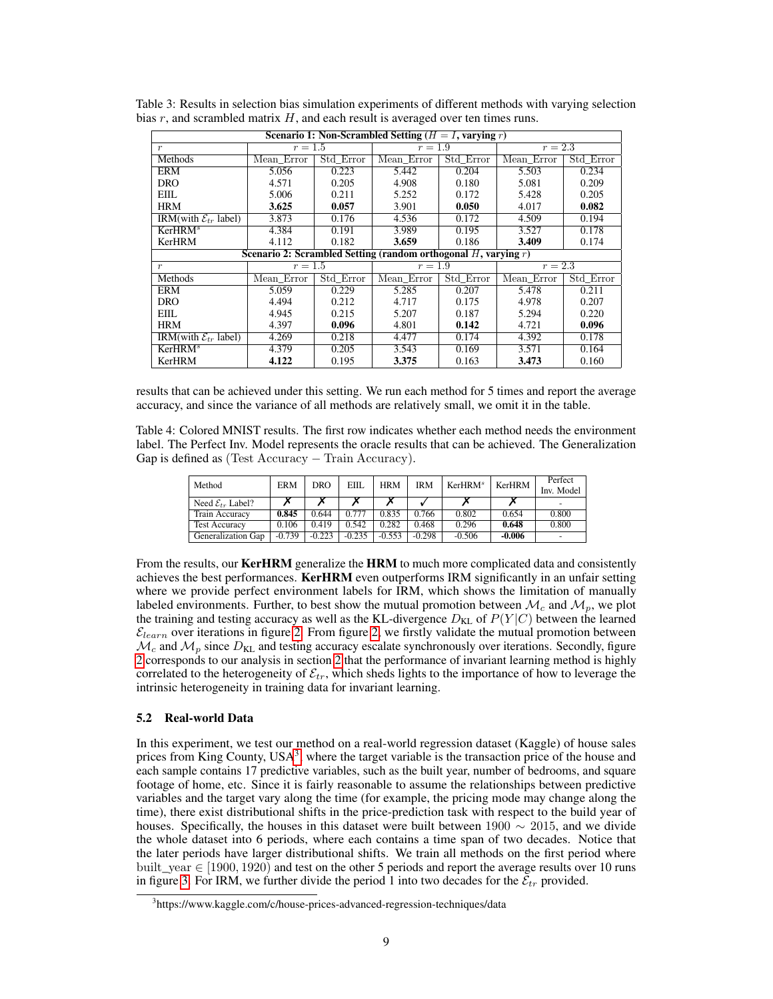| Scenario 1: Non-Scrambled Setting ( $H = I$ , varying r) |                                                                      |           |            |           |            |           |  |  |  |  |
|----------------------------------------------------------|----------------------------------------------------------------------|-----------|------------|-----------|------------|-----------|--|--|--|--|
| $\boldsymbol{r}$                                         | $r=1.5$                                                              |           | $r=1.9$    |           | $r = 2.3$  |           |  |  |  |  |
| Methods                                                  | Mean Error                                                           | Std Error | Mean Error | Std Error | Mean Error | Std Error |  |  |  |  |
| <b>ERM</b>                                               | 5.056                                                                | 0.223     | 5.442      | 0.204     | 5.503      | 0.234     |  |  |  |  |
| <b>DRO</b>                                               | 4.571                                                                | 0.205     | 4.908      | 0.180     | 5.081      | 0.209     |  |  |  |  |
| EIIL.                                                    | 5.006                                                                | 0.211     | 5.252      | 0.172     | 5.428      | 0.205     |  |  |  |  |
| <b>HRM</b>                                               | 3.625                                                                | 0.057     | 3.901      | 0.050     | 4.017      | 0.082     |  |  |  |  |
| IRM(with $\mathcal{E}_{tr}$ label)                       | 3.873                                                                | 0.176     | 4.536      | 0.172     | 4.509      | 0.194     |  |  |  |  |
| KerHRM <sup>s</sup>                                      | 4.384                                                                | 0.191     | 3.989      | 0.195     | 3.527      | 0.178     |  |  |  |  |
| KerHRM                                                   | 4.112                                                                | 0.182     | 3.659      | 0.186     | 3.409      | 0.174     |  |  |  |  |
|                                                          | Scenario 2: Scrambled Setting (random orthogonal $H$ , varying $r$ ) |           |            |           |            |           |  |  |  |  |
| $\boldsymbol{r}$                                         | $r = 1.5$                                                            |           | $r = 1.9$  |           | $r = 2.3$  |           |  |  |  |  |
| <b>Methods</b>                                           | Mean Error                                                           | Std Error | Mean Error | Std Error | Mean Error | Std Error |  |  |  |  |
| ERM                                                      | 5.059                                                                | 0.229     | 5.285      | 0.207     | 5.478      | 0.211     |  |  |  |  |
| <b>DRO</b>                                               | 4.494                                                                | 0.212     | 4.717      | 0.175     | 4.978      | 0.207     |  |  |  |  |
| EIIL.                                                    | 4.945                                                                | 0.215     | 5.207      | 0.187     | 5.294      | 0.220     |  |  |  |  |
| <b>HRM</b>                                               | 4.397                                                                | 0.096     | 4.801      | 0.142     | 4.721      | 0.096     |  |  |  |  |
| IRM(with $\mathcal{E}_{tr}$ label)                       | 4.269                                                                | 0.218     | 4.477      | 0.174     | 4.392      | 0.178     |  |  |  |  |
| KerHRM <sup>s</sup>                                      | 4.379                                                                | 0.205     | 3.543      | 0.169     | 3.571      | 0.164     |  |  |  |  |
| KerHRM                                                   | 4.122                                                                | 0.195     | 3.375      | 0.163     | 3.473      | 0.160     |  |  |  |  |

<span id="page-8-0"></span>Table 3: Results in selection bias simulation experiments of different methods with varying selection bias  $r$ , and scrambled matrix  $H$ , and each result is averaged over ten times runs.

results that can be achieved under this setting. We run each method for 5 times and report the average accuracy, and since the variance of all methods are relatively small, we omit it in the table.

<span id="page-8-1"></span>Table 4: Colored MNIST results. The first row indicates whether each method needs the environment label. The Perfect Inv. Model represents the oracle results that can be achieved. The Generalization Gap is defined as (Test Accuracy − Train Accuracy).

| Method                         | <b>ERM</b> | DRO      | EIIL     | <b>HRM</b> | <b>IRM</b> | KerHRM <sup>s</sup> | KerHRM   | Perfect<br>Inv. Model |
|--------------------------------|------------|----------|----------|------------|------------|---------------------|----------|-----------------------|
| Need $\mathcal{E}_{tr}$ Label? |            |          |          |            |            |                     |          |                       |
| Train Accuracy                 | 0.845      | 0.644    | 0.777    | 0.835      | 0.766      | 0.802               | 0.654    | 0.800                 |
| <b>Test Accuracy</b>           | 0.106      | 0.419    | 0.542    | 0.282      | 0.468      | 0.296               | 0.648    | 0.800                 |
| Generalization Gap             | $-0.739$   | $-0.223$ | $-0.235$ | $-0.553$   | $-0.298$   | $-0.506$            | $-0.006$ |                       |

From the results, our **KerHRM** generalize the **HRM** to much more complicated data and consistently achieves the best performances. KerHRM even outperforms IRM significantly in an unfair setting where we provide perfect environment labels for IRM, which shows the limitation of manually labeled environments. Further, to best show the mutual promotion between  $\mathcal{M}_c$  and  $\mathcal{M}_p$ , we plot the training and testing accuracy as well as the KL-divergence  $D_{\text{KL}}$  of  $P(Y|C)$  between the learned  $\mathcal{E}_{learn}$  over iterations in figure [2.](#page-9-0) From figure [2,](#page-9-0) we firstly validate the mutual promotion between  $\mathcal{M}_c$  and  $\mathcal{M}_p$  since  $D_{KL}$  and testing accuracy escalate synchronously over iterations. Secondly, figure [2](#page-9-0) corresponds to our analysis in section [2](#page-1-3) that the performance of invariant learning method is highly correlated to the heterogeneity of  $\mathcal{E}_{tr}$ , which sheds lights to the importance of how to leverage the intrinsic heterogeneity in training data for invariant learning.

# 5.2 Real-world Data

In this experiment, we test our method on a real-world regression dataset (Kaggle) of house sales prices from King County, USA<sup>[3](#page-8-2)</sup>, where the target variable is the transaction price of the house and each sample contains 17 predictive variables, such as the built year, number of bedrooms, and square footage of home, etc. Since it is fairly reasonable to assume the relationships between predictive variables and the target vary along the time (for example, the pricing mode may change along the time), there exist distributional shifts in the price-prediction task with respect to the build year of houses. Specifically, the houses in this dataset were built between  $1900 \sim 2015$ , and we divide the whole dataset into 6 periods, where each contains a time span of two decades. Notice that the later periods have larger distributional shifts. We train all methods on the first period where built\_year  $\in$  [1900, 1920) and test on the other 5 periods and report the average results over 10 runs in figure [3.](#page-9-1) For IRM, we further divide the period 1 into two decades for the  $\mathcal{E}_{tr}$  provided.

<span id="page-8-2"></span><sup>&</sup>lt;sup>3</sup>https://www.kaggle.com/c/house-prices-advanced-regression-techniques/data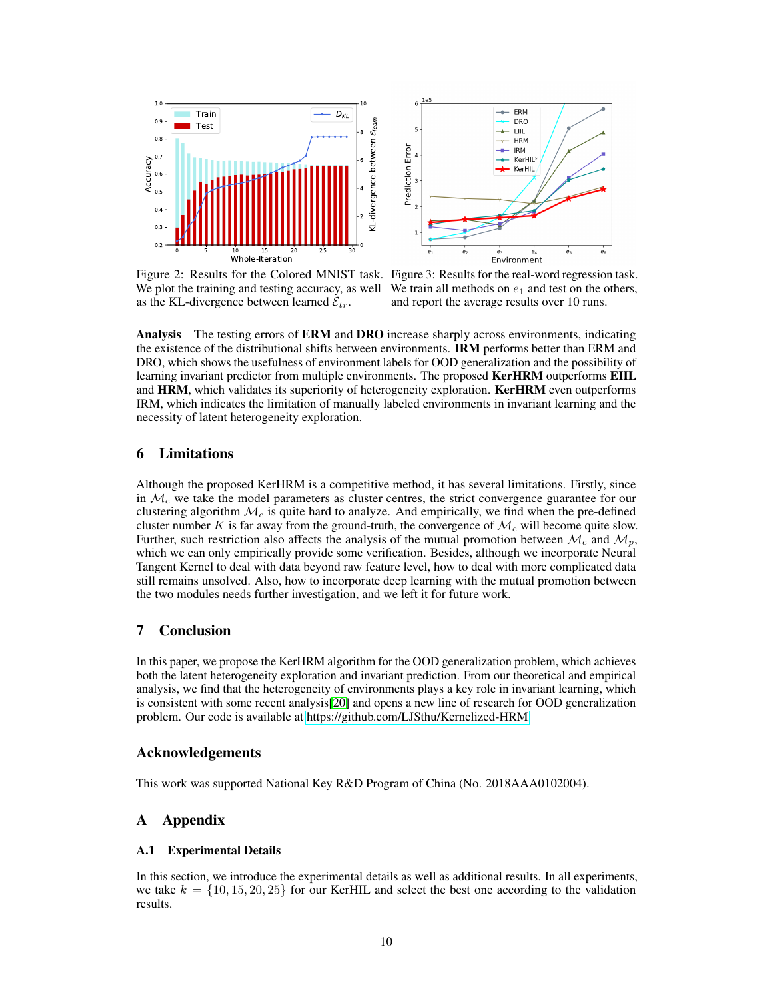

<span id="page-9-1"></span>

We plot the training and testing accuracy, as well We train all methods on  $e_1$  and test on the others, as the KL-divergence between learned  $\mathcal{E}_{tr}$ .

<span id="page-9-0"></span>Figure 2: Results for the Colored MNIST task. Figure 3: Results for the real-word regression task. and report the average results over 10 runs.

Analysis The testing errors of ERM and DRO increase sharply across environments, indicating the existence of the distributional shifts between environments. **IRM** performs better than ERM and DRO, which shows the usefulness of environment labels for OOD generalization and the possibility of learning invariant predictor from multiple environments. The proposed **KerHRM** outperforms **EIIL** and HRM, which validates its superiority of heterogeneity exploration. KerHRM even outperforms IRM, which indicates the limitation of manually labeled environments in invariant learning and the necessity of latent heterogeneity exploration.

# 6 Limitations

Although the proposed KerHRM is a competitive method, it has several limitations. Firstly, since in  $\mathcal{M}_c$  we take the model parameters as cluster centres, the strict convergence guarantee for our clustering algorithm  $\mathcal{M}_c$  is quite hard to analyze. And empirically, we find when the pre-defined cluster number K is far away from the ground-truth, the convergence of  $\mathcal{M}_c$  will become quite slow. Further, such restriction also affects the analysis of the mutual promotion between  $\mathcal{M}_c$  and  $\mathcal{M}_p$ , which we can only empirically provide some verification. Besides, although we incorporate Neural Tangent Kernel to deal with data beyond raw feature level, how to deal with more complicated data still remains unsolved. Also, how to incorporate deep learning with the mutual promotion between the two modules needs further investigation, and we left it for future work.

# 7 Conclusion

In this paper, we propose the KerHRM algorithm for the OOD generalization problem, which achieves both the latent heterogeneity exploration and invariant prediction. From our theoretical and empirical analysis, we find that the heterogeneity of environments plays a key role in invariant learning, which is consistent with some recent analysis[\[20\]](#page-16-8) and opens a new line of research for OOD generalization problem. Our code is available at [https://github.com/LJSthu/Kernelized-HRM.](https://github.com/LJSthu/Kernelized-HRM)

# Acknowledgements

This work was supported National Key R&D Program of China (No. 2018AAA0102004).

# A Appendix

# A.1 Experimental Details

In this section, we introduce the experimental details as well as additional results. In all experiments, we take  $k = \{10, 15, 20, 25\}$  for our KerHIL and select the best one according to the validation results.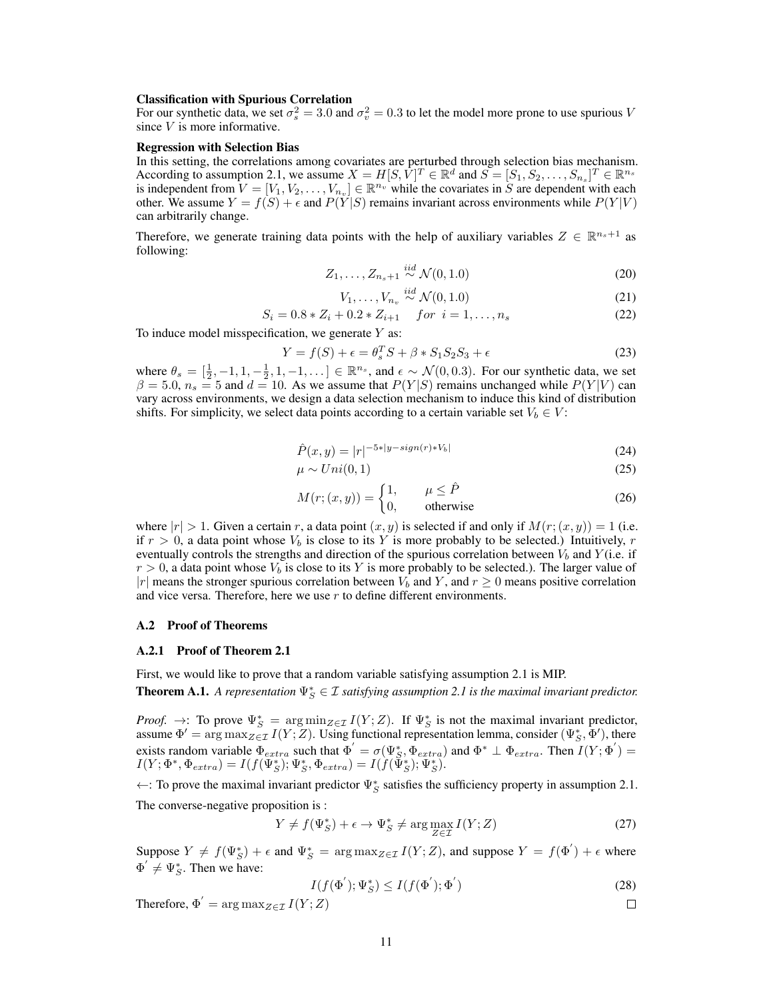#### Classification with Spurious Correlation

For our synthetic data, we set  $\sigma_s^2 = 3.0$  and  $\sigma_v^2 = 0.3$  to let the model more prone to use spurious V since V is more informative.

#### Regression with Selection Bias

In this setting, the correlations among covariates are perturbed through selection bias mechanism. According to assumption 2.1, we assume  $X = H[S, V]^T \in \mathbb{R}^d$  and  $S = [S_1, S_2, \dots, S_{n_s}]^T \in \mathbb{R}^{n_s}$ is independent from  $V = [V_1, V_2, \dots, V_{n_v}] \in \mathbb{R}^{n_v}$  while the covariates in S are dependent with each other. We assume  $Y = f(S) + \epsilon$  and  $P(Y|S)$  remains invariant across environments while  $P(Y|V)$ can arbitrarily change.

Therefore, we generate training data points with the help of auxiliary variables  $Z \in \mathbb{R}^{n_s+1}$  as following:

$$
Z_1, \ldots, Z_{n_s+1} \stackrel{iid}{\sim} \mathcal{N}(0, 1.0) \tag{20}
$$

$$
V_1, \ldots, V_{n_v} \stackrel{iid}{\sim} \mathcal{N}(0, 1.0) \tag{21}
$$

$$
S_i = 0.8 * Z_i + 0.2 * Z_{i+1} \quad for \quad i = 1, ..., n_s \tag{22}
$$

To induce model misspecification, we generate  $Y$  as:

$$
Y = f(S) + \epsilon = \theta_s^T S + \beta * S_1 S_2 S_3 + \epsilon \tag{23}
$$

where  $\theta_s = \left[\frac{1}{2}, -1, 1, -\frac{1}{2}, 1, -1, \ldots\right] \in \mathbb{R}^{n_s}$ , and  $\epsilon \sim \mathcal{N}(0, 0.3)$ . For our synthetic data, we set  $\beta = 5.0, n_s = 5$  and  $d = 10$ . As we assume that  $P(Y|S)$  remains unchanged while  $P(Y|V)$  can vary across environments, we design a data selection mechanism to induce this kind of distribution shifts. For simplicity, we select data points according to a certain variable set  $V_b \in V$ :

$$
\hat{P}(x,y) = |r|^{-5*|y - sign(r) * V_b|}
$$
\n(24)

$$
\mu \sim Uni(0,1) \tag{25}
$$

$$
M(r; (x, y)) = \begin{cases} 1, & \mu \le \hat{P} \\ 0, & \text{otherwise} \end{cases}
$$
 (26)

where  $|r| > 1$ . Given a certain r, a data point  $(x, y)$  is selected if and only if  $M(r; (x, y)) = 1$  (i.e. if  $r > 0$ , a data point whose  $V_b$  is close to its Y is more probably to be selected.) Intuitively, r eventually controls the strengths and direction of the spurious correlation between  $V_b$  and  $Y$  (i.e. if  $r > 0$ , a data point whose  $V_b$  is close to its Y is more probably to be selected.). The larger value of |r| means the stronger spurious correlation between  $V_b$  and Y, and  $r \geq 0$  means positive correlation and vice versa. Therefore, here we use  $r$  to define different environments.

### A.2 Proof of Theorems

#### A.2.1 Proof of Theorem 2.1

First, we would like to prove that a random variable satisfying assumption 2.1 is MIP.

<span id="page-10-0"></span>**Theorem A.1.** A representation  $\Psi_S^* \in \mathcal{I}$  satisfying assumption 2.1 is the maximal invariant predictor.

*Proof.* →: To prove  $\Psi_S^* = \arg \min_{Z \in \mathcal{I}} I(Y; Z)$ . If  $\Psi_S^*$  is not the maximal invariant predictor, assume  $\Phi' = \arg \max_{Z \in \mathcal{I}} I(Y; Z)$ . Using functional representation lemma, consider  $(\Psi_S^*, \overline{\Phi}')$ , there exists random variable  $\Phi_{extra}$  such that  $\Phi' = \sigma(\Psi_S^*, \Phi_{extra})$  and  $\Phi^* \perp \Phi_{extra}$ . Then  $I(Y; \Phi') =$  $I(Y; \Phi^*, \Phi_{extra}) = I(f(\Psi_S^*); \Psi_S^*, \Phi_{extra}) = I(f(\Psi_S^*); \Psi_S^*).$ 

←: To prove the maximal invariant predictor  $\Psi_S^*$  satisfies the sufficiency property in assumption 2.1. The converse-negative proposition is :

$$
Y \neq f(\Psi_S^*) + \epsilon \to \Psi_S^* \neq \arg \max_{Z \in \mathcal{I}} I(Y; Z)
$$
\n<sup>(27)</sup>

Suppose  $Y \neq f(\Psi_S^*) + \epsilon$  and  $\Psi_S^* = \arg \max_{Z \in \mathcal{I}} I(Y; Z)$ , and suppose  $Y = f(\Phi') + \epsilon$  where  $\Phi' \neq \Psi_S^*$ . Then we have:

$$
I(f(\Phi'); \Psi_S^*) \le I(f(\Phi'); \Phi')
$$
\n(28)

 $\Box$ 

Therefore,  $\Phi^{'} = \argmax_{Z \in \mathcal{I}} I(Y; Z)$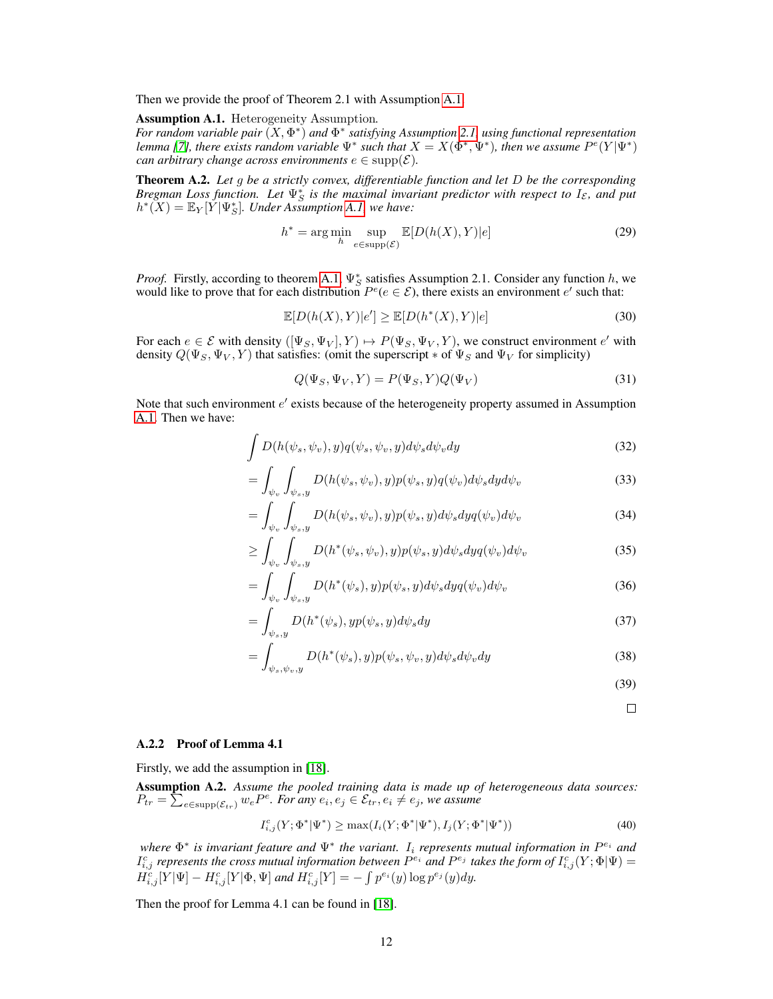Then we provide the proof of Theorem 2.1 with Assumption [A.1.](#page-11-0)

<span id="page-11-0"></span>Assumption A.1. Heterogeneity Assumption*.*

*For random variable pair* (X, Φ\*) *and*  $\Phi$ <sup>\*</sup> *satisfying Assumption* [2.1,](#page-1-2) *using functional representation lemma* [\[7\]](#page-15-7), there exists random variable  $\Psi^*$  such that  $X = X(\Phi^*, \Psi^*)$ , then we assume  $P^e(Y|\Psi^*)$ *can arbitrary change across environments*  $e \in \text{supp}(\mathcal{E})$ *.* 

Theorem A.2. *Let* g *be a strictly convex, differentiable function and let* D *be the corresponding Bregman Loss function. Let*  $\Psi_S^*$  *is the maximal invariant predictor with respect to*  $I_{\mathcal{E}}$ *, and put*  $h^*(X) = \mathbb{E}_Y[\check{Y}|\Psi^*_S]$ . Under Assumption [A.1,](#page-11-0) we have:

$$
h^* = \arg\min_{h} \sup_{e \in \text{supp}(\mathcal{E})} \mathbb{E}[D(h(X), Y)|e] \tag{29}
$$

*Proof.* Firstly, according to theorem [A.1,](#page-10-0)  $\Psi_S^*$  satisfies Assumption 2.1. Consider any function h, we would like to prove that for each distribution  $P^e(e \in \mathcal{E})$ , there exists an environment e' such that:

$$
\mathbb{E}[D(h(X),Y)|e'] \ge \mathbb{E}[D(h^*(X),Y)|e]
$$
\n(30)

For each  $e \in \mathcal{E}$  with density  $([\Psi_S, \Psi_V], Y) \mapsto P(\Psi_S, \Psi_V, Y)$ , we construct environment  $e'$  with density  $Q(\Psi_S, \Psi_V, Y)$  that satisfies: (omit the superscript  $*$  of  $\Psi_S$  and  $\Psi_V$  for simplicity)

$$
Q(\Psi_S, \Psi_V, Y) = P(\Psi_S, Y)Q(\Psi_V)
$$
\n(31)

Note that such environment  $e'$  exists because of the heterogeneity property assumed in Assumption [A.1.](#page-11-0) Then we have:

$$
\int D(h(\psi_s, \psi_v), y) q(\psi_s, \psi_v, y) d\psi_s d\psi_v dy \tag{32}
$$

$$
= \int_{\psi_v} \int_{\psi_s, y} D(h(\psi_s, \psi_v), y) p(\psi_s, y) q(\psi_v) d\psi_s dy d\psi_v \tag{33}
$$

$$
= \int_{\psi_v} \int_{\psi_s, y} D(h(\psi_s, \psi_v), y) p(\psi_s, y) d\psi_s dy q(\psi_v) d\psi_v \tag{34}
$$

$$
\geq \int_{\psi_v} \int_{\psi_s, y} D(h^*(\psi_s, \psi_v), y) p(\psi_s, y) d\psi_s d y q(\psi_v) d\psi_v \tag{35}
$$

$$
= \int_{\psi_v} \int_{\psi_s, y} D(h^*(\psi_s), y) p(\psi_s, y) d\psi_s dy q(\psi_v) d\psi_v \tag{36}
$$

$$
= \int_{\psi_s, y} D(h^*(\psi_s), yp(\psi_s, y)d\psi_s dy \tag{37}
$$

$$
= \int_{\psi_s, \psi_v, y} D(h^*(\psi_s), y) p(\psi_s, \psi_v, y) d\psi_s d\psi_v dy \tag{38}
$$

- (39)
	- $\Box$

# A.2.2 Proof of Lemma 4.1

Firstly, we add the assumption in [\[18\]](#page-16-3).

Assumption A.2. *Assume the pooled training data is made up of heterogeneous data sources:*  $P_{tr} = \sum_{e \in \text{supp}(\mathcal{E}_{tr})} w_e P^e$ . For any  $e_i, e_j \in \mathcal{E}_{tr}, e_i \neq e_j$ , we assume

$$
I_{i,j}^c(Y; \Phi^* | \Psi^*) \ge \max(I_i(Y; \Phi^* | \Psi^*), I_j(Y; \Phi^* | \Psi^*)) \tag{40}
$$

*where*  $Φ^*$  *is invariant feature and*  $Ψ^*$  *the variant.* I<sub>i</sub> *represents mutual information in*  $P^{e_i}$  *and*  $I_{i,j}^c$  represents the cross mutual information between  $P^{e_i}$  and  $P^{e_j}$  takes the form of  $I_{i,j}^c(Y;\Phi|\Psi)$  =  $\hat{H_{i,j}^{c}}[Y|\Psi]-H_{i,j}^{c}[Y|\Phi,\Psi]$  and  $H_{i,j}^{c}[Y]=-\int p^{e_{i}}(y)\log p^{e_{j}}(y)dy$ .

Then the proof for Lemma 4.1 can be found in [\[18\]](#page-16-3).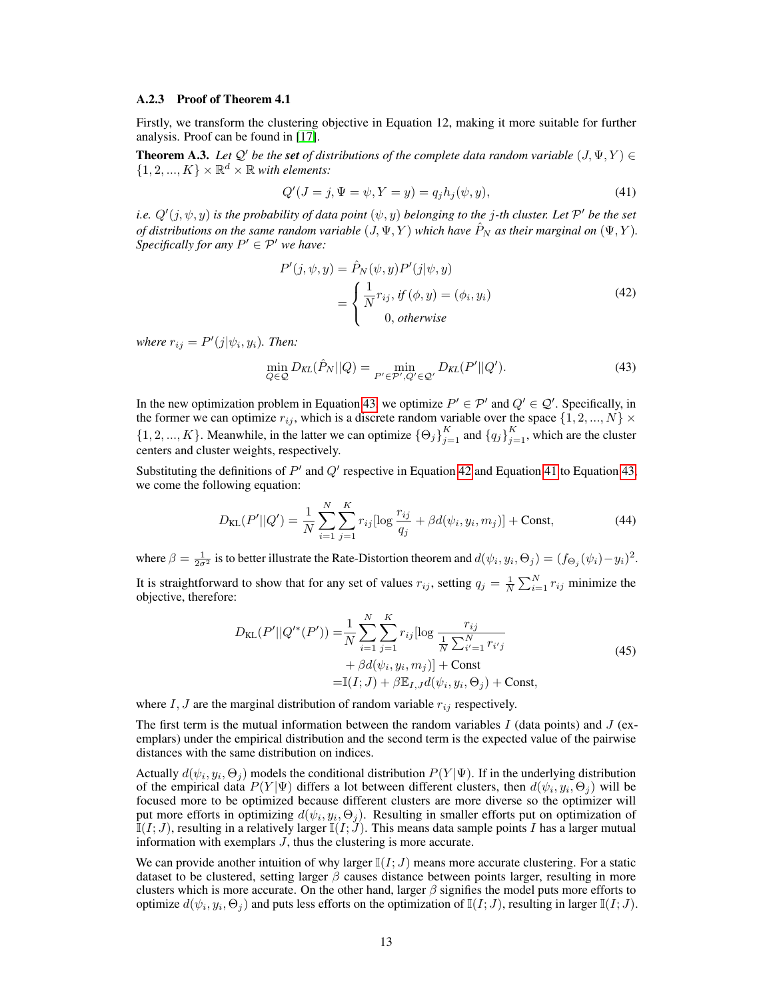### A.2.3 Proof of Theorem 4.1

Firstly, we transform the clustering objective in Equation 12, making it more suitable for further analysis. Proof can be found in [\[17\]](#page-16-6).

**Theorem A.3.** *Let*  $Q'$  *be the set of distributions of the complete data random variable*  $(J, \Psi, Y) \in$  $\{1, 2, ..., K\} \times \mathbb{R}^d \times \mathbb{R}$  with elements:

<span id="page-12-2"></span>
$$
Q'(J = j, \Psi = \psi, Y = y) = q_j h_j(\psi, y), \tag{41}
$$

*i.e.*  $Q'(j, \psi, y)$  is the probability of data point  $(\psi, y)$  belonging to the j-th cluster. Let  $\mathcal{P}'$  be the set *of distributions on the same random variable*  $(J, \Psi, Y)$  *which have*  $\hat{P}_N$  *as their marginal on*  $(\Psi, Y)$ *. Specifically for any*  $P' \in \mathcal{P}'$  *we have:* 

<span id="page-12-1"></span>
$$
P'(j, \psi, y) = \hat{P}_N(\psi, y) P'(j|\psi, y)
$$
  
= 
$$
\begin{cases} \frac{1}{N} r_{ij}, \text{ if } (\phi, y) = (\phi_i, y_i) \\ 0, \text{ otherwise} \end{cases}
$$
 (42)

*where*  $r_{ij} = P'(j|\psi_i, y_i)$ *. Then:* 

<span id="page-12-0"></span>
$$
\min_{Q \in \mathcal{Q}} D_{KL}(\hat{P}_N || Q) = \min_{P' \in \mathcal{P}', Q' \in \mathcal{Q}'} D_{KL}(P' || Q'). \tag{43}
$$

In the new optimization problem in Equation [43,](#page-12-0) we optimize  $P' \in \mathcal{P}'$  and  $Q' \in \mathcal{Q}'$ . Specifically, in the former we can optimize  $r_{ij}$ , which is a discrete random variable over the space  $\{1, 2, ..., N\}$   $\times$  $\{1, 2, ..., K\}$ . Meanwhile, in the latter we can optimize  $\{\Theta_j\}_{j=1}^K$  and  $\{q_j\}_{j=1}^K$ , which are the cluster centers and cluster weights, respectively.

Substituting the definitions of  $P'$  and  $Q'$  respective in Equation [42](#page-12-1) and Equation [41](#page-12-2) to Equation [43,](#page-12-0) we come the following equation:

$$
D_{\text{KL}}(P'||Q') = \frac{1}{N} \sum_{i=1}^{N} \sum_{j=1}^{K} r_{ij} [\log \frac{r_{ij}}{q_j} + \beta d(\psi_i, y_i, m_j)] + \text{Const},\tag{44}
$$

where  $\beta = \frac{1}{2\sigma^2}$  is to better illustrate the Rate-Distortion theorem and  $d(\psi_i, y_i, \Theta_j) = (f_{\Theta_j}(\psi_i) - y_i)^2$ . It is straightforward to show that for any set of values  $r_{ij}$ , setting  $q_j = \frac{1}{N} \sum_{i=1}^{N} r_{ij}$  minimize the objective, therefore:

$$
D_{\text{KL}}(P'||Q'^*(P')) = \frac{1}{N} \sum_{i=1}^{N} \sum_{j=1}^{K} r_{ij} [\log \frac{r_{ij}}{\frac{1}{N} \sum_{i'=1}^{N} r_{i'j}} + \beta d(\psi_i, y_i, m_j)] + \text{Const} = \mathbb{I}(I; J) + \beta \mathbb{E}_{I, J} d(\psi_i, y_i, \Theta_j) + \text{Const},
$$
 (45)

where  $I, J$  are the marginal distribution of random variable  $r_{ij}$  respectively.

The first term is the mutual information between the random variables I (data points) and  $J$  (exemplars) under the empirical distribution and the second term is the expected value of the pairwise distances with the same distribution on indices.

Actually  $d(\psi_i, y_i, \Theta_j)$  models the conditional distribution  $P(Y|\Psi)$ . If in the underlying distribution of the empirical data  $P(Y|\Psi)$  differs a lot between different clusters, then  $d(\psi_i, y_i, \Theta_j)$  will be focused more to be optimized because different clusters are more diverse so the optimizer will put more efforts in optimizing  $d(\psi_i, y_i, \Theta_j)$ . Resulting in smaller efforts put on optimization of  $\mathbb{I}(I; J)$ , resulting in a relatively larger  $\mathbb{I}(I; J)$ . This means data sample points I has a larger mutual information with exemplars  $J$ , thus the clustering is more accurate.

We can provide another intuition of why larger  $\mathbb{I}(I; J)$  means more accurate clustering. For a static dataset to be clustered, setting larger  $\beta$  causes distance between points larger, resulting in more clusters which is more accurate. On the other hand, larger  $\beta$  signifies the model puts more efforts to optimize  $d(\psi_i, y_i, \Theta_j)$  and puts less efforts on the optimization of  $\mathbb{I}(I;J)$ , resulting in larger  $\mathbb{I}(I;J)$ .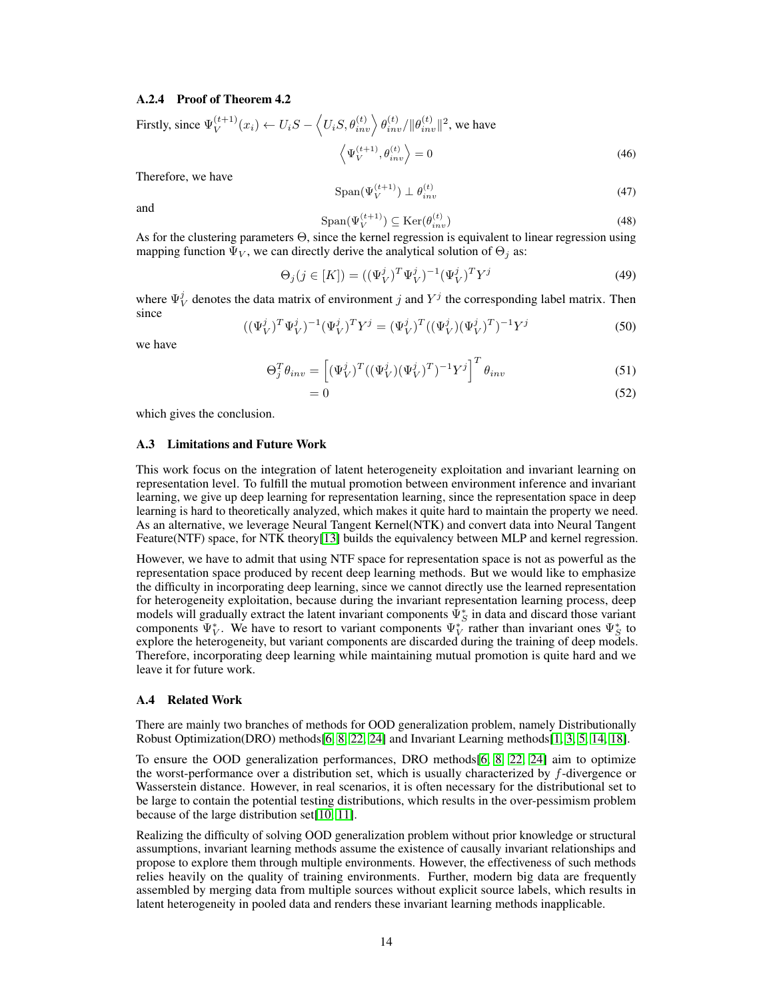### A.2.4 Proof of Theorem 4.2

Firstly, since 
$$
\Psi_V^{(t+1)}(x_i) \leftarrow U_i S - \langle U_i S, \theta_{inv}^{(t)} \rangle \theta_{inv}^{(t)} / ||\theta_{inv}^{(t)}||^2
$$
, we have  
\n
$$
\langle \Psi_V^{(t+1)}, \theta_{inv}^{(t)} \rangle = 0
$$
\n(46)

Therefore, we have

$$
\text{Span}(\Psi_V^{(t+1)}) \perp \theta_{inv}^{(t)} \tag{47}
$$

and

$$
\text{Span}(\Psi_V^{(t+1)}) \subseteq \text{Ker}(\theta_{inv}^{(t)})\tag{48}
$$

As for the clustering parameters Θ, since the kernel regression is equivalent to linear regression using mapping function  $\Psi_V$ , we can directly derive the analytical solution of  $\Theta_i$  as:

$$
\Theta_j(j \in [K]) = ((\Psi_V^j)^T \Psi_V^j)^{-1} (\Psi_V^j)^T Y^j \tag{49}
$$

where  $\Psi_V^j$  denotes the data matrix of environment j and  $Y^j$  the corresponding label matrix. Then since

$$
((\Psi_V^j)^T \Psi_V^j)^{-1} (\Psi_V^j)^T Y^j = (\Psi_V^j)^T ((\Psi_V^j)(\Psi_V^j)^T)^{-1} Y^j
$$
\n(50)

we have

$$
\Theta_j^T \theta_{inv} = \left[ (\Psi_V^j)^T ((\Psi_V^j)(\Psi_V^j)^T)^{-1} Y^j \right]^T \theta_{inv}
$$
\n(51)

$$
=0\tag{52}
$$

which gives the conclusion.

#### A.3 Limitations and Future Work

This work focus on the integration of latent heterogeneity exploitation and invariant learning on representation level. To fulfill the mutual promotion between environment inference and invariant learning, we give up deep learning for representation learning, since the representation space in deep learning is hard to theoretically analyzed, which makes it quite hard to maintain the property we need. As an alternative, we leverage Neural Tangent Kernel(NTK) and convert data into Neural Tangent Feature(NTF) space, for NTK theory[\[13\]](#page-15-3) builds the equivalency between MLP and kernel regression.

However, we have to admit that using NTF space for representation space is not as powerful as the representation space produced by recent deep learning methods. But we would like to emphasize the difficulty in incorporating deep learning, since we cannot directly use the learned representation for heterogeneity exploitation, because during the invariant representation learning process, deep models will gradually extract the latent invariant components  $\bar{\Psi}_{S}^{*}$  in data and discard those variant components  $\Psi_V^*$ . We have to resort to variant components  $\Psi_V^*$  rather than invariant ones  $\Psi_S^*$  to explore the heterogeneity, but variant components are discarded during the training of deep models. Therefore, incorporating deep learning while maintaining mutual promotion is quite hard and we leave it for future work.

### A.4 Related Work

There are mainly two branches of methods for OOD generalization problem, namely Distributionally Robust Optimization(DRO) methods[\[6,](#page-15-9) [8,](#page-15-12) [22,](#page-16-9) [24\]](#page-16-10) and Invariant Learning methods[\[1,](#page-15-1) [3,](#page-15-4) [5,](#page-15-2) [14,](#page-15-6) [18\]](#page-16-3).

To ensure the OOD generalization performances, DRO methods[\[6,](#page-15-9) [8,](#page-15-12) [22,](#page-16-9) [24\]](#page-16-10) aim to optimize the worst-performance over a distribution set, which is usually characterized by f-divergence or Wasserstein distance. However, in real scenarios, it is often necessary for the distributional set to be large to contain the potential testing distributions, which results in the over-pessimism problem because of the large distribution set[\[10,](#page-15-13) [11\]](#page-15-14).

Realizing the difficulty of solving OOD generalization problem without prior knowledge or structural assumptions, invariant learning methods assume the existence of causally invariant relationships and propose to explore them through multiple environments. However, the effectiveness of such methods relies heavily on the quality of training environments. Further, modern big data are frequently assembled by merging data from multiple sources without explicit source labels, which results in latent heterogeneity in pooled data and renders these invariant learning methods inapplicable.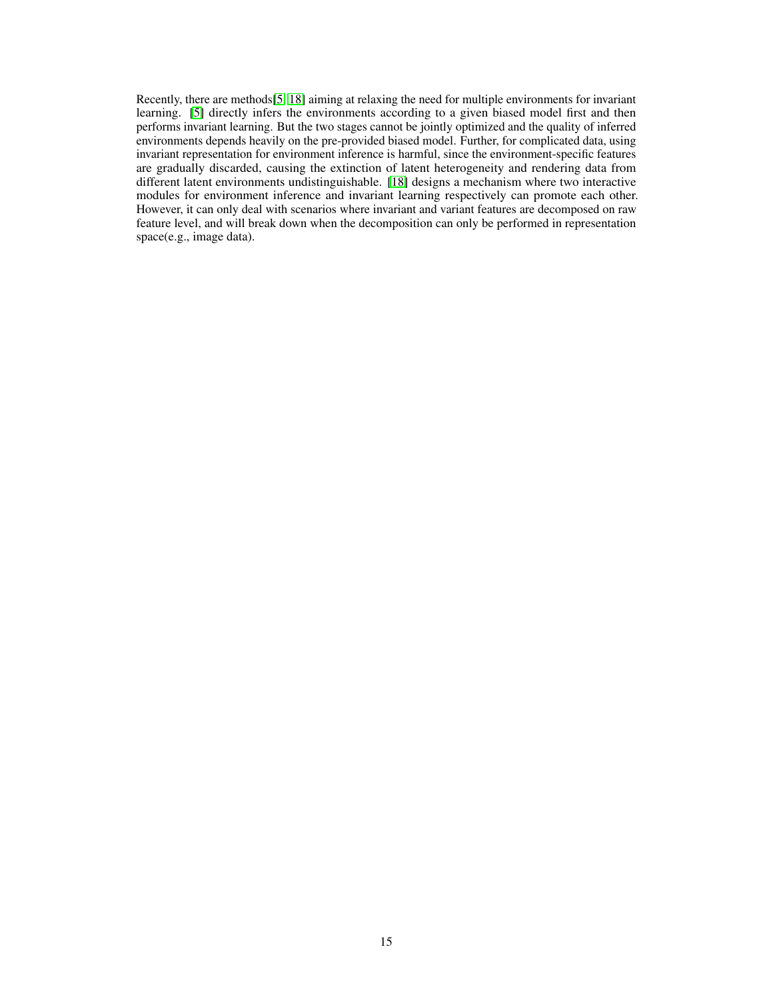Recently, there are methods[\[5,](#page-15-2) [18\]](#page-16-3) aiming at relaxing the need for multiple environments for invariant learning. [\[5\]](#page-15-2) directly infers the environments according to a given biased model first and then performs invariant learning. But the two stages cannot be jointly optimized and the quality of inferred environments depends heavily on the pre-provided biased model. Further, for complicated data, using invariant representation for environment inference is harmful, since the environment-specific features are gradually discarded, causing the extinction of latent heterogeneity and rendering data from different latent environments undistinguishable. [\[18\]](#page-16-3) designs a mechanism where two interactive modules for environment inference and invariant learning respectively can promote each other. However, it can only deal with scenarios where invariant and variant features are decomposed on raw feature level, and will break down when the decomposition can only be performed in representation space(e.g., image data).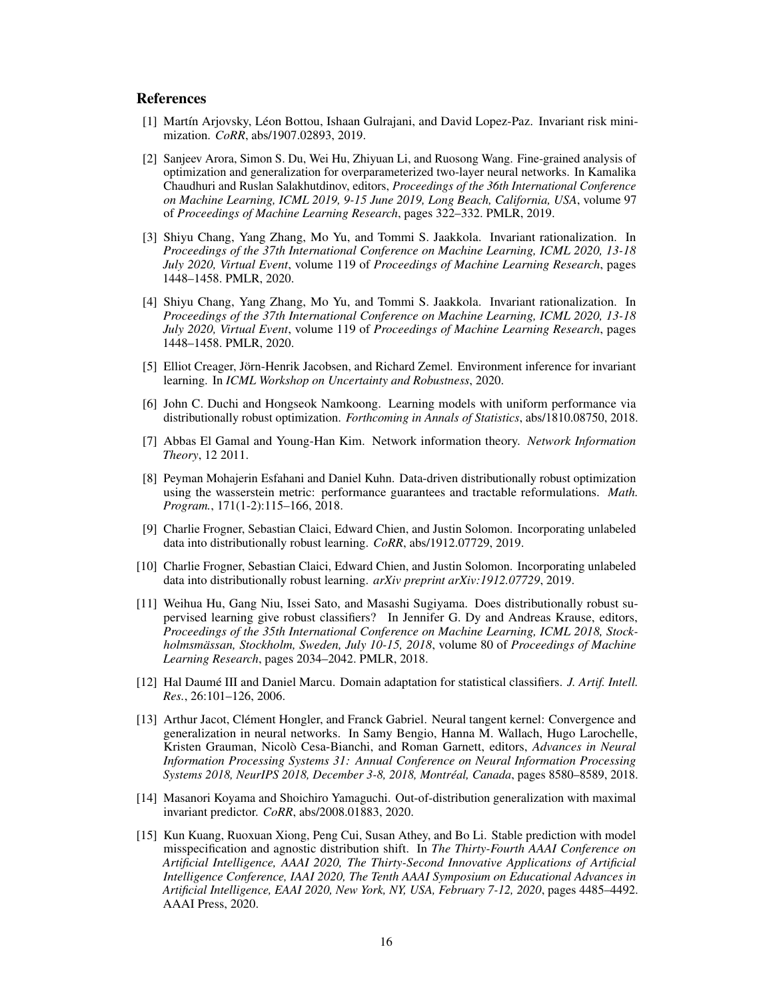# References

- <span id="page-15-1"></span>[1] Martín Arjovsky, Léon Bottou, Ishaan Gulrajani, and David Lopez-Paz. Invariant risk minimization. *CoRR*, abs/1907.02893, 2019.
- <span id="page-15-8"></span>[2] Sanjeev Arora, Simon S. Du, Wei Hu, Zhiyuan Li, and Ruosong Wang. Fine-grained analysis of optimization and generalization for overparameterized two-layer neural networks. In Kamalika Chaudhuri and Ruslan Salakhutdinov, editors, *Proceedings of the 36th International Conference on Machine Learning, ICML 2019, 9-15 June 2019, Long Beach, California, USA*, volume 97 of *Proceedings of Machine Learning Research*, pages 322–332. PMLR, 2019.
- <span id="page-15-4"></span>[3] Shiyu Chang, Yang Zhang, Mo Yu, and Tommi S. Jaakkola. Invariant rationalization. In *Proceedings of the 37th International Conference on Machine Learning, ICML 2020, 13-18 July 2020, Virtual Event*, volume 119 of *Proceedings of Machine Learning Research*, pages 1448–1458. PMLR, 2020.
- <span id="page-15-5"></span>[4] Shiyu Chang, Yang Zhang, Mo Yu, and Tommi S. Jaakkola. Invariant rationalization. In *Proceedings of the 37th International Conference on Machine Learning, ICML 2020, 13-18 July 2020, Virtual Event*, volume 119 of *Proceedings of Machine Learning Research*, pages 1448–1458. PMLR, 2020.
- <span id="page-15-2"></span>[5] Elliot Creager, Jörn-Henrik Jacobsen, and Richard Zemel. Environment inference for invariant learning. In *ICML Workshop on Uncertainty and Robustness*, 2020.
- <span id="page-15-9"></span>[6] John C. Duchi and Hongseok Namkoong. Learning models with uniform performance via distributionally robust optimization. *Forthcoming in Annals of Statistics*, abs/1810.08750, 2018.
- <span id="page-15-7"></span>[7] Abbas El Gamal and Young-Han Kim. Network information theory. *Network Information Theory*, 12 2011.
- <span id="page-15-12"></span>[8] Peyman Mohajerin Esfahani and Daniel Kuhn. Data-driven distributionally robust optimization using the wasserstein metric: performance guarantees and tractable reformulations. *Math. Program.*, 171(1-2):115–166, 2018.
- <span id="page-15-10"></span>[9] Charlie Frogner, Sebastian Claici, Edward Chien, and Justin Solomon. Incorporating unlabeled data into distributionally robust learning. *CoRR*, abs/1912.07729, 2019.
- <span id="page-15-13"></span>[10] Charlie Frogner, Sebastian Claici, Edward Chien, and Justin Solomon. Incorporating unlabeled data into distributionally robust learning. *arXiv preprint arXiv:1912.07729*, 2019.
- <span id="page-15-14"></span>[11] Weihua Hu, Gang Niu, Issei Sato, and Masashi Sugiyama. Does distributionally robust supervised learning give robust classifiers? In Jennifer G. Dy and Andreas Krause, editors, *Proceedings of the 35th International Conference on Machine Learning, ICML 2018, Stockholmsmässan, Stockholm, Sweden, July 10-15, 2018*, volume 80 of *Proceedings of Machine Learning Research*, pages 2034–2042. PMLR, 2018.
- <span id="page-15-0"></span>[12] Hal Daumé III and Daniel Marcu. Domain adaptation for statistical classifiers. *J. Artif. Intell. Res.*, 26:101–126, 2006.
- <span id="page-15-3"></span>[13] Arthur Jacot, Clément Hongler, and Franck Gabriel. Neural tangent kernel: Convergence and generalization in neural networks. In Samy Bengio, Hanna M. Wallach, Hugo Larochelle, Kristen Grauman, Nicolò Cesa-Bianchi, and Roman Garnett, editors, *Advances in Neural Information Processing Systems 31: Annual Conference on Neural Information Processing Systems 2018, NeurIPS 2018, December 3-8, 2018, Montréal, Canada*, pages 8580–8589, 2018.
- <span id="page-15-6"></span>[14] Masanori Koyama and Shoichiro Yamaguchi. Out-of-distribution generalization with maximal invariant predictor. *CoRR*, abs/2008.01883, 2020.
- <span id="page-15-11"></span>[15] Kun Kuang, Ruoxuan Xiong, Peng Cui, Susan Athey, and Bo Li. Stable prediction with model misspecification and agnostic distribution shift. In *The Thirty-Fourth AAAI Conference on Artificial Intelligence, AAAI 2020, The Thirty-Second Innovative Applications of Artificial Intelligence Conference, IAAI 2020, The Tenth AAAI Symposium on Educational Advances in Artificial Intelligence, EAAI 2020, New York, NY, USA, February 7-12, 2020*, pages 4485–4492. AAAI Press, 2020.